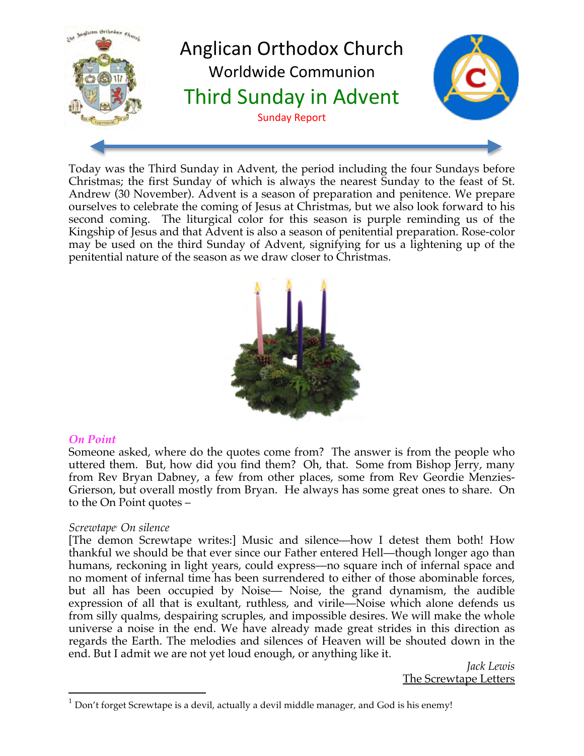

Today was the Third Sunday in Advent, the period including the four Sundays before Christmas; the first Sunday of which is always the nearest Sunday to the feast of St. Andrew (30 November). Advent is a season of preparation and penitence. We prepare ourselves to celebrate the coming of Jesus at Christmas, but we also look forward to his second coming. The liturgical color for this season is purple reminding us of the Kingship of Jesus and that Advent is also a season of penitential preparation. Rose-color may be used on the third Sunday of Advent, signifying for us a lightening up of the penitential nature of the season as we draw closer to Christmas.



# *On Point*

Someone asked, where do the quotes come from? The answer is from the people who uttered them. But, how did you find them? Oh, that. Some from Bishop Jerry, many from Rev Bryan Dabney, a few from other places, some from Rev Geordie Menzies-Grierson, but overall mostly from Bryan. He always has some great ones to share. On to the On Point quotes –

#### *Screwtape1 On silence*

[The demon Screwtape writes:] Music and silence—how I detest them both! How thankful we should be that ever since our Father entered Hell—though longer ago than humans, reckoning in light years, could express—no square inch of infernal space and no moment of infernal time has been surrendered to either of those abominable forces, but all has been occupied by Noise— Noise, the grand dynamism, the audible expression of all that is exultant, ruthless, and virile—Noise which alone defends us from silly qualms, despairing scruples, and impossible desires. We will make the whole universe a noise in the end. We have already made great strides in this direction as regards the Earth. The melodies and silences of Heaven will be shouted down in the end. But I admit we are not yet loud enough, or anything like it.

> *Jack Lewis* The Screwtape Letters

 $1$  Don't forget Screwtape is a devil, actually a devil middle manager, and God is his enemy!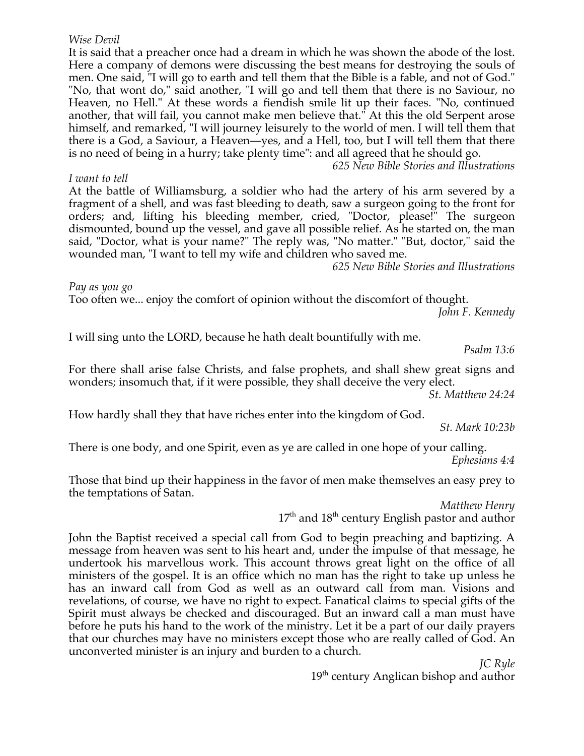#### *Wise Devil*

It is said that a preacher once had a dream in which he was shown the abode of the lost. Here a company of demons were discussing the best means for destroying the souls of men. One said, "I will go to earth and tell them that the Bible is a fable, and not of God." "No, that wont do," said another, "I will go and tell them that there is no Saviour, no Heaven, no Hell." At these words a fiendish smile lit up their faces. "No, continued another, that will fail, you cannot make men believe that." At this the old Serpent arose himself, and remarked, "I will journey leisurely to the world of men. I will tell them that there is a God, a Saviour, a Heaven—yes, and a Hell, too, but I will tell them that there is no need of being in a hurry; take plenty time": and all agreed that he should go.

*625 New Bible Stories and Illustrations*

#### *I want to tell*

At the battle of Williamsburg, a soldier who had the artery of his arm severed by a fragment of a shell, and was fast bleeding to death, saw a surgeon going to the front for orders; and, lifting his bleeding member, cried, "Doctor, please!" The surgeon dismounted, bound up the vessel, and gave all possible relief. As he started on, the man said, "Doctor, what is your name?" The reply was, "No matter." "But, doctor," said the wounded man, "I want to tell my wife and children who saved me.

*625 New Bible Stories and Illustrations*

*Pay as you go*

Too often we... enjoy the comfort of opinion without the discomfort of thought. *John F. Kennedy*

I will sing unto the LORD, because he hath dealt bountifully with me.

*Psalm 13:6*

For there shall arise false Christs, and false prophets, and shall shew great signs and wonders; insomuch that, if it were possible, they shall deceive the very elect.

*St. Matthew 24:24*

How hardly shall they that have riches enter into the kingdom of God.

*St. Mark 10:23b*

There is one body, and one Spirit, even as ye are called in one hope of your calling. *Ephesians 4:4*

Those that bind up their happiness in the favor of men make themselves an easy prey to the temptations of Satan.

*Matthew Henry*

 $17<sup>th</sup>$  and  $18<sup>th</sup>$  century English pastor and author

John the Baptist received a special call from God to begin preaching and baptizing. A message from heaven was sent to his heart and, under the impulse of that message, he undertook his marvellous work. This account throws great light on the office of all ministers of the gospel. It is an office which no man has the right to take up unless he has an inward call from God as well as an outward call from man. Visions and revelations, of course, we have no right to expect. Fanatical claims to special gifts of the Spirit must always be checked and discouraged. But an inward call a man must have before he puts his hand to the work of the ministry. Let it be a part of our daily prayers that our churches may have no ministers except those who are really called of God. An unconverted minister is an injury and burden to a church.

> *JC Ryle*  $19<sup>th</sup>$  century Anglican bishop and author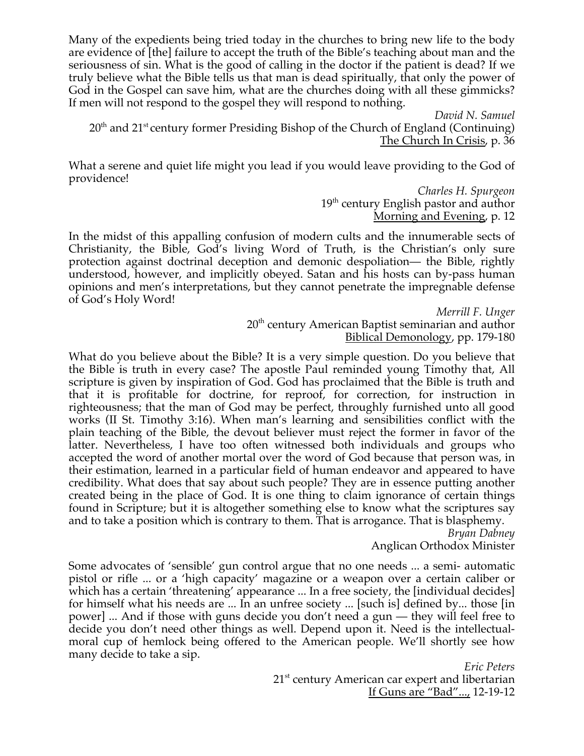Many of the expedients being tried today in the churches to bring new life to the body are evidence of [the] failure to accept the truth of the Bible's teaching about man and the seriousness of sin. What is the good of calling in the doctor if the patient is dead? If we truly believe what the Bible tells us that man is dead spiritually, that only the power of God in the Gospel can save him, what are the churches doing with all these gimmicks? If men will not respond to the gospel they will respond to nothing.

*David N. Samuel*  $20<sup>th</sup>$  and  $21<sup>st</sup>$  century former Presiding Bishop of the Church of England (Continuing) The Church In Crisis, p. 36

What a serene and quiet life might you lead if you would leave providing to the God of providence!

> *Charles H. Spurgeon* 19<sup>th</sup> century English pastor and author Morning and Evening, p. 12

In the midst of this appalling confusion of modern cults and the innumerable sects of Christianity, the Bible, God's living Word of Truth, is the Christian's only sure protection against doctrinal deception and demonic despoliation— the Bible, rightly understood, however, and implicitly obeyed. Satan and his hosts can by-pass human opinions and men's interpretations, but they cannot penetrate the impregnable defense of God's Holy Word!

> *Merrill F. Unger* 20<sup>th</sup> century American Baptist seminarian and author Biblical Demonology, pp. 179-180

What do you believe about the Bible? It is a very simple question. Do you believe that the Bible is truth in every case? The apostle Paul reminded young Timothy that, All scripture is given by inspiration of God. God has proclaimed that the Bible is truth and that it is profitable for doctrine, for reproof, for correction, for instruction in righteousness; that the man of God may be perfect, throughly furnished unto all good works (II St. Timothy 3:16). When man's learning and sensibilities conflict with the plain teaching of the Bible, the devout believer must reject the former in favor of the latter. Nevertheless, I have too often witnessed both individuals and groups who accepted the word of another mortal over the word of God because that person was, in their estimation, learned in a particular field of human endeavor and appeared to have credibility. What does that say about such people? They are in essence putting another created being in the place of God. It is one thing to claim ignorance of certain things found in Scripture; but it is altogether something else to know what the scriptures say and to take a position which is contrary to them. That is arrogance. That is blasphemy.

*Bryan Dabney* Anglican Orthodox Minister

Some advocates of 'sensible' gun control argue that no one needs ... a semi- automatic pistol or rifle ... or a 'high capacity' magazine or a weapon over a certain caliber or which has a certain 'threatening' appearance ... In a free society, the [individual decides] for himself what his needs are ... In an unfree society ... [such is] defined by... those [in power] ... And if those with guns decide you don't need a gun — they will feel free to decide you don't need other things as well. Depend upon it. Need is the intellectualmoral cup of hemlock being offered to the American people. We'll shortly see how many decide to take a sip.

*Eric Peters*  21<sup>st</sup> century American car expert and libertarian If Guns are "Bad"..., 12-19-12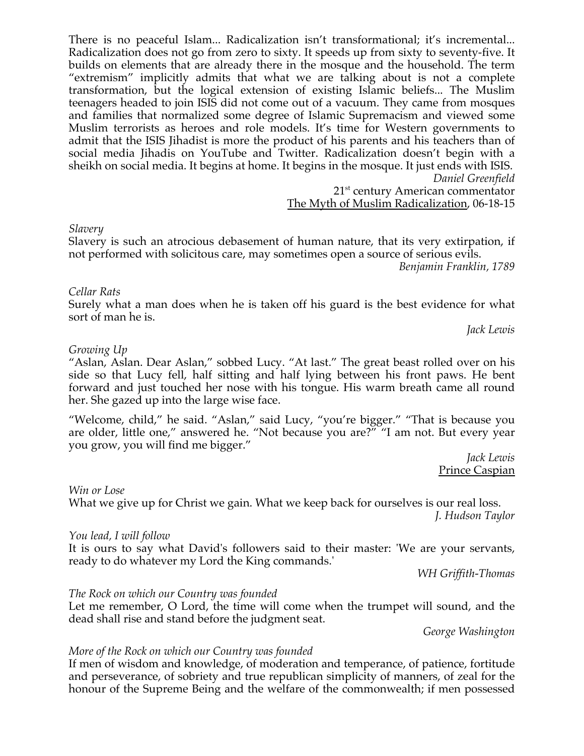There is no peaceful Islam... Radicalization isn't transformational; it's incremental... Radicalization does not go from zero to sixty. It speeds up from sixty to seventy-five. It builds on elements that are already there in the mosque and the household. The term "extremism" implicitly admits that what we are talking about is not a complete transformation, but the logical extension of existing Islamic beliefs... The Muslim teenagers headed to join ISIS did not come out of a vacuum. They came from mosques and families that normalized some degree of Islamic Supremacism and viewed some Muslim terrorists as heroes and role models. It's time for Western governments to admit that the ISIS Jihadist is more the product of his parents and his teachers than of social media Jihadis on YouTube and Twitter. Radicalization doesn't begin with a sheikh on social media. It begins at home. It begins in the mosque. It just ends with ISIS. *Daniel Greenfield*

21<sup>st</sup> century American commentator

The Myth of Muslim Radicalization, 06-18-15

#### *Slavery*

Slavery is such an atrocious debasement of human nature, that its very extirpation, if not performed with solicitous care, may sometimes open a source of serious evils.

*Benjamin Franklin, 1789*

#### *Cellar Rats*

Surely what a man does when he is taken off his guard is the best evidence for what sort of man he is.

*Jack Lewis*

#### *Growing Up*

"Aslan, Aslan. Dear Aslan," sobbed Lucy. "At last." The great beast rolled over on his side so that Lucy fell, half sitting and half lying between his front paws. He bent forward and just touched her nose with his tongue. His warm breath came all round her. She gazed up into the large wise face.

"Welcome, child," he said. "Aslan," said Lucy, "you're bigger." "That is because you are older, little one," answered he. "Not because you are?" "I am not. But every year you grow, you will find me bigger."

> *Jack Lewis* Prince Caspian

#### *Win or Lose*

What we give up for Christ we gain. What we keep back for ourselves is our real loss.  *J. Hudson Taylor*

#### *You lead, I will follow*

It is ours to say what David's followers said to their master: 'We are your servants, ready to do whatever my Lord the King commands.'

*WH Griffith-Thomas*

#### *The Rock on which our Country was founded*

Let me remember, O Lord, the time will come when the trumpet will sound, and the dead shall rise and stand before the judgment seat.

*George Washington*

#### *More of the Rock on which our Country was founded*

If men of wisdom and knowledge, of moderation and temperance, of patience, fortitude and perseverance, of sobriety and true republican simplicity of manners, of zeal for the honour of the Supreme Being and the welfare of the commonwealth; if men possessed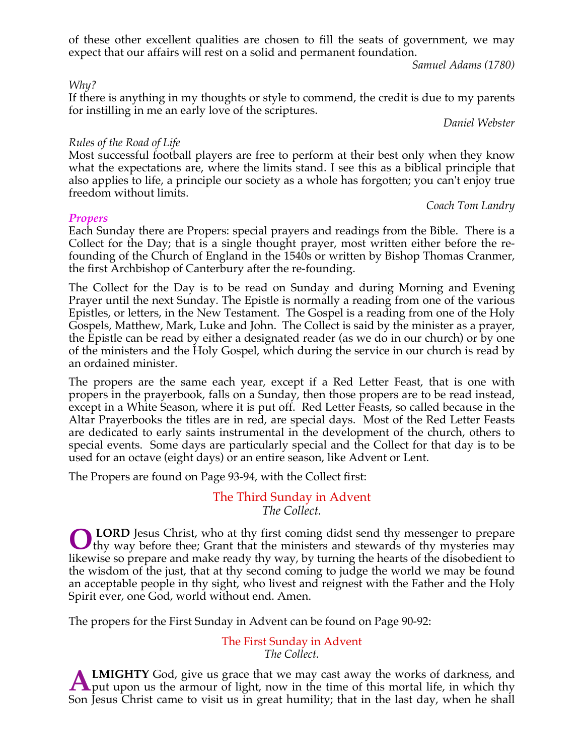of these other excellent qualities are chosen to fill the seats of government, we may expect that our affairs will rest on a solid and permanent foundation.

*Samuel Adams (1780)*

#### *Why?*

If there is anything in my thoughts or style to commend, the credit is due to my parents for instilling in me an early love of the scriptures.

*Daniel Webster*

### *Rules of the Road of Life*

Most successful football players are free to perform at their best only when they know what the expectations are, where the limits stand. I see this as a biblical principle that also applies to life, a principle our society as a whole has forgotten; you can't enjoy true freedom without limits.

#### *Propers*

#### *Coach Tom Landry*

Each Sunday there are Propers: special prayers and readings from the Bible. There is a Collect for the Day; that is a single thought prayer, most written either before the refounding of the Church of England in the 1540s or written by Bishop Thomas Cranmer, the first Archbishop of Canterbury after the re-founding.

The Collect for the Day is to be read on Sunday and during Morning and Evening Prayer until the next Sunday. The Epistle is normally a reading from one of the various Epistles, or letters, in the New Testament. The Gospel is a reading from one of the Holy Gospels, Matthew, Mark, Luke and John. The Collect is said by the minister as a prayer, the Epistle can be read by either a designated reader (as we do in our church) or by one of the ministers and the Holy Gospel, which during the service in our church is read by an ordained minister.

The propers are the same each year, except if a Red Letter Feast, that is one with propers in the prayerbook, falls on a Sunday, then those propers are to be read instead, except in a White Season, where it is put off. Red Letter Feasts, so called because in the Altar Prayerbooks the titles are in red, are special days. Most of the Red Letter Feasts are dedicated to early saints instrumental in the development of the church, others to special events. Some days are particularly special and the Collect for that day is to be used for an octave (eight days) or an entire season, like Advent or Lent.

The Propers are found on Page 93-94, with the Collect first:

# The Third Sunday in Advent *The Collect.*

**LORD** Jesus Christ, who at thy first coming didst send thy messenger to prepare **OLORD** Jesus Christ, who at thy first coming didst send thy messenger to prepare thy way before thee; Grant that the ministers and stewards of thy mysteries may likewise so prepare and make ready thy way, by turning the hearts of the disobedient to the wisdom of the just, that at thy second coming to judge the world we may be found an acceptable people in thy sight, who livest and reignest with the Father and the Holy Spirit ever, one God, world without end. Amen.

The propers for the First Sunday in Advent can be found on Page 90-92:

The First Sunday in Advent *The Collect.*

**LMIGHTY** God, give us grace that we may cast away the works of darkness, and **A LMIGHTY** God, give us grace that we may cast away the works of darkness, and put upon us the armour of light, now in the time of this mortal life, in which thy Son Jesus Christ came to visit us in great humility; that in the last day, when he shall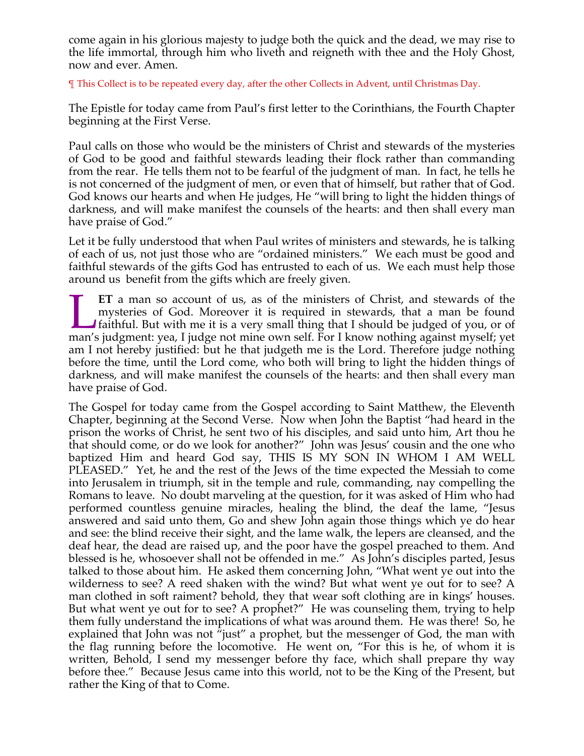come again in his glorious majesty to judge both the quick and the dead, we may rise to the life immortal, through him who liveth and reigneth with thee and the Holy Ghost, now and ever. Amen.

¶ This Collect is to be repeated every day, after the other Collects in Advent, until Christmas Day.

The Epistle for today came from Paul's first letter to the Corinthians, the Fourth Chapter beginning at the First Verse.

Paul calls on those who would be the ministers of Christ and stewards of the mysteries of God to be good and faithful stewards leading their flock rather than commanding from the rear. He tells them not to be fearful of the judgment of man. In fact, he tells he is not concerned of the judgment of men, or even that of himself, but rather that of God. God knows our hearts and when He judges, He "will bring to light the hidden things of darkness, and will make manifest the counsels of the hearts: and then shall every man have praise of God."

Let it be fully understood that when Paul writes of ministers and stewards, he is talking of each of us, not just those who are "ordained ministers." We each must be good and faithful stewards of the gifts God has entrusted to each of us. We each must help those around us benefit from the gifts which are freely given.

**ET** a man so account of us, as of the ministers of Christ, and stewards of the mysteries of God. Moreover it is required in stewards, that a man be found faithful. But with me it is a very small thing that I should be judged of you, or of **ET** a man so account of us, as of the ministers of Christ, and stewards of the mysteries of God. Moreover it is required in stewards, that a man be found faithful. But with me it is a very small thing that I should be jud am I not hereby justified: but he that judgeth me is the Lord. Therefore judge nothing before the time, until the Lord come, who both will bring to light the hidden things of darkness, and will make manifest the counsels of the hearts: and then shall every man have praise of God.

The Gospel for today came from the Gospel according to Saint Matthew, the Eleventh Chapter, beginning at the Second Verse. Now when John the Baptist "had heard in the prison the works of Christ, he sent two of his disciples, and said unto him, Art thou he that should come, or do we look for another?" John was Jesus' cousin and the one who baptized Him and heard God say, THIS IS MY SON IN WHOM I AM WELL PLEASED." Yet, he and the rest of the Jews of the time expected the Messiah to come into Jerusalem in triumph, sit in the temple and rule, commanding, nay compelling the Romans to leave. No doubt marveling at the question, for it was asked of Him who had performed countless genuine miracles, healing the blind, the deaf the lame, "Jesus answered and said unto them, Go and shew John again those things which ye do hear and see: the blind receive their sight, and the lame walk, the lepers are cleansed, and the deaf hear, the dead are raised up, and the poor have the gospel preached to them. And blessed is he, whosoever shall not be offended in me." As John's disciples parted, Jesus talked to those about him. He asked them concerning John, "What went ye out into the wilderness to see? A reed shaken with the wind? But what went ye out for to see? A man clothed in soft raiment? behold, they that wear soft clothing are in kings' houses. But what went ye out for to see? A prophet?" He was counseling them, trying to help them fully understand the implications of what was around them. He was there! So, he explained that John was not "just" a prophet, but the messenger of God, the man with the flag running before the locomotive. He went on, "For this is he, of whom it is written, Behold, I send my messenger before thy face, which shall prepare thy way before thee." Because Jesus came into this world, not to be the King of the Present, but rather the King of that to Come.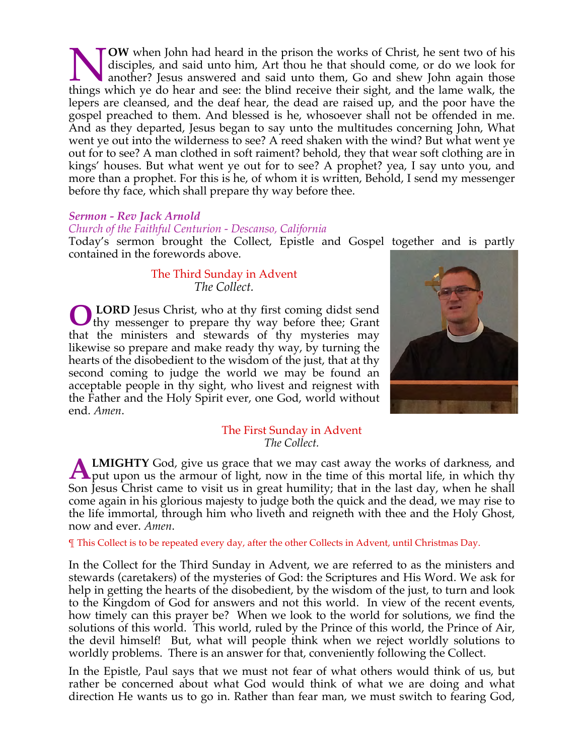**OW** when John had heard in the prison the works of Christ, he sent two of his disciples, and said unto him, Art thou he that should come, or do we look for another? Jesus answered and said unto them, Go and shew John again those **the Music See South And See South And See South See South And See South And See South See South See South And See: the blind receive their sight, and the lame walk, the sent for the lame walk, the set of the lame walk, th** lepers are cleansed, and the deaf hear, the dead are raised up, and the poor have the gospel preached to them. And blessed is he, whosoever shall not be offended in me. And as they departed, Jesus began to say unto the multitudes concerning John, What went ye out into the wilderness to see? A reed shaken with the wind? But what went ye out for to see? A man clothed in soft raiment? behold, they that wear soft clothing are in kings' houses. But what went ye out for to see? A prophet? yea, I say unto you, and more than a prophet. For this is he, of whom it is written, Behold, I send my messenger before thy face, which shall prepare thy way before thee.

#### *Sermon - Rev Jack Arnold*

#### *Church of the Faithful Centurion - Descanso, California*

Today's sermon brought the Collect, Epistle and Gospel together and is partly contained in the forewords above.

# The Third Sunday in Advent *The Collect.*

**LORD** Jesus Christ, who at thy first coming didst send **O** LORD Jesus Christ, who at thy first coming didst send thy messenger to prepare thy way before thee; Grant that the ministers and stewards of thy mysteries may likewise so prepare and make ready thy way, by turning the hearts of the disobedient to the wisdom of the just, that at thy second coming to judge the world we may be found an acceptable people in thy sight, who livest and reignest with the Father and the Holy Spirit ever, one God, world without end. *Amen*.



#### The First Sunday in Advent *The Collect.*

**LMIGHTY** God, give us grace that we may cast away the works of darkness, and **A LMIGHTY** God, give us grace that we may cast away the works of darkness, and put upon us the armour of light, now in the time of this mortal life, in which thy Son Jesus Christ came to visit us in great humility; that in the last day, when he shall come again in his glorious majesty to judge both the quick and the dead, we may rise to the life immortal, through him who liveth and reigneth with thee and the Holy Ghost, now and ever. *Amen*.

¶ This Collect is to be repeated every day, after the other Collects in Advent, until Christmas Day.

In the Collect for the Third Sunday in Advent, we are referred to as the ministers and stewards (caretakers) of the mysteries of God: the Scriptures and His Word. We ask for help in getting the hearts of the disobedient, by the wisdom of the just, to turn and look to the Kingdom of God for answers and not this world. In view of the recent events, how timely can this prayer be? When we look to the world for solutions, we find the solutions of this world. This world, ruled by the Prince of this world, the Prince of Air, the devil himself! But, what will people think when we reject worldly solutions to worldly problems. There is an answer for that, conveniently following the Collect.

In the Epistle, Paul says that we must not fear of what others would think of us, but rather be concerned about what God would think of what we are doing and what direction He wants us to go in. Rather than fear man, we must switch to fearing God,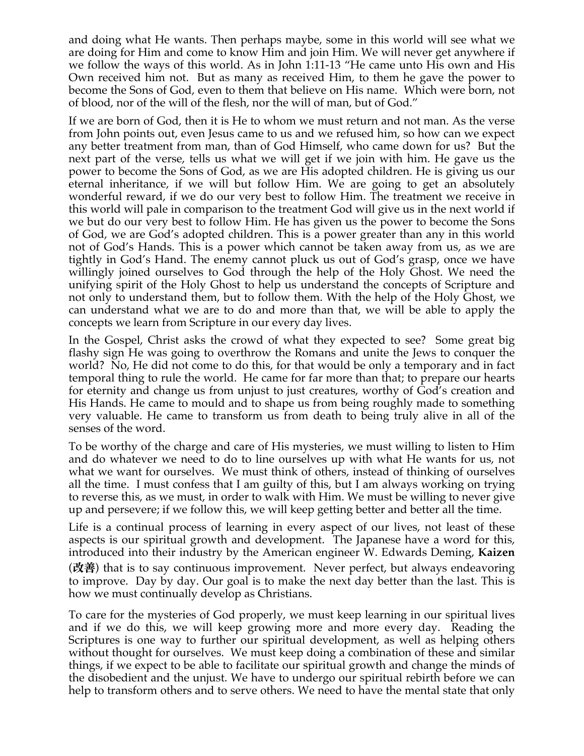and doing what He wants. Then perhaps maybe, some in this world will see what we are doing for Him and come to know Him and join Him. We will never get anywhere if we follow the ways of this world. As in John 1:11-13 "He came unto His own and His Own received him not. But as many as received Him, to them he gave the power to become the Sons of God, even to them that believe on His name. Which were born, not of blood, nor of the will of the flesh, nor the will of man, but of God."

If we are born of God, then it is He to whom we must return and not man. As the verse from John points out, even Jesus came to us and we refused him, so how can we expect any better treatment from man, than of God Himself, who came down for us? But the next part of the verse, tells us what we will get if we join with him. He gave us the power to become the Sons of God, as we are His adopted children. He is giving us our eternal inheritance, if we will but follow Him. We are going to get an absolutely wonderful reward, if we do our very best to follow Him. The treatment we receive in this world will pale in comparison to the treatment God will give us in the next world if we but do our very best to follow Him. He has given us the power to become the Sons of God, we are God's adopted children. This is a power greater than any in this world not of God's Hands. This is a power which cannot be taken away from us, as we are tightly in God's Hand. The enemy cannot pluck us out of God's grasp, once we have willingly joined ourselves to God through the help of the Holy Ghost. We need the unifying spirit of the Holy Ghost to help us understand the concepts of Scripture and not only to understand them, but to follow them. With the help of the Holy Ghost, we can understand what we are to do and more than that, we will be able to apply the concepts we learn from Scripture in our every day lives.

In the Gospel, Christ asks the crowd of what they expected to see? Some great big flashy sign He was going to overthrow the Romans and unite the Jews to conquer the world? No, He did not come to do this, for that would be only a temporary and in fact temporal thing to rule the world. He came for far more than that; to prepare our hearts for eternity and change us from unjust to just creatures, worthy of God's creation and His Hands. He came to mould and to shape us from being roughly made to something very valuable. He came to transform us from death to being truly alive in all of the senses of the word.

To be worthy of the charge and care of His mysteries, we must willing to listen to Him and do whatever we need to do to line ourselves up with what He wants for us, not what we want for ourselves. We must think of others, instead of thinking of ourselves all the time. I must confess that I am guilty of this, but I am always working on trying to reverse this, as we must, in order to walk with Him. We must be willing to never give up and persevere; if we follow this, we will keep getting better and better all the time.

Life is a continual process of learning in every aspect of our lives, not least of these aspects is our spiritual growth and development. The Japanese have a word for this, introduced into their industry by the American engineer W. Edwards Deming, **Kaizen** (改善) that is to say continuous improvement. Never perfect, but always endeavoring to improve. Day by day. Our goal is to make the next day better than the last. This is how we must continually develop as Christians.

To care for the mysteries of God properly, we must keep learning in our spiritual lives and if we do this, we will keep growing more and more every day. Reading the Scriptures is one way to further our spiritual development, as well as helping others without thought for ourselves. We must keep doing a combination of these and similar things, if we expect to be able to facilitate our spiritual growth and change the minds of the disobedient and the unjust. We have to undergo our spiritual rebirth before we can help to transform others and to serve others. We need to have the mental state that only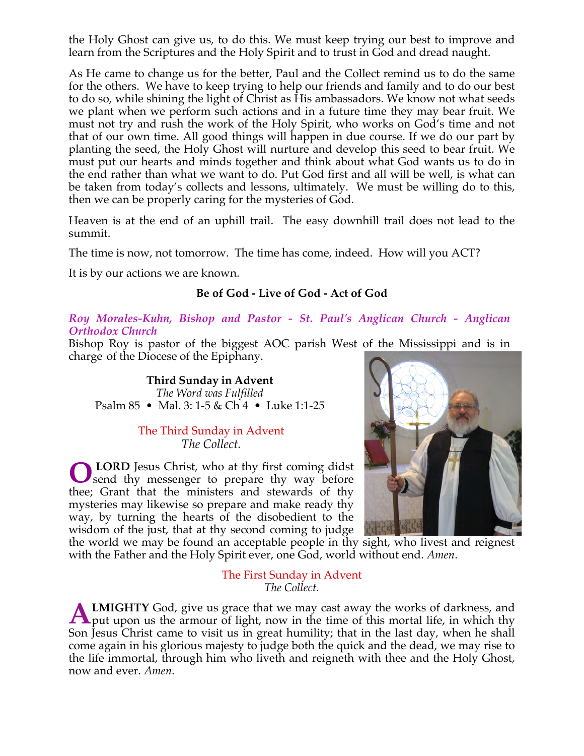the Holy Ghost can give us, to do this. We must keep trying our best to improve and learn from the Scriptures and the Holy Spirit and to trust in God and dread naught.

As He came to change us for the better, Paul and the Collect remind us to do the same for the others. We have to keep trying to help our friends and family and to do our best to do so, while shining the light of Christ as His ambassadors. We know not what seeds we plant when we perform such actions and in a future time they may bear fruit. We must not try and rush the work of the Holy Spirit, who works on God's time and not that of our own time. All good things will happen in due course. If we do our part by planting the seed, the Holy Ghost will nurture and develop this seed to bear fruit. We must put our hearts and minds together and think about what God wants us to do in the end rather than what we want to do. Put God first and all will be well, is what can be taken from today's collects and lessons, ultimately. We must be willing do to this, then we can be properly caring for the mysteries of God.

Heaven is at the end of an uphill trail. The easy downhill trail does not lead to the summit.

The time is now, not tomorrow. The time has come, indeed. How will you ACT?

It is by our actions we are known.

# **Be of God - Live of God - Act of God**

*Roy Morales-Kuhn, Bishop and Pastor - St. Paul's Anglican Church - Anglican Orthodox Church*

Bishop Roy is pastor of the biggest AOC parish West of the Mississippi and is in charge of the Diocese of the Epiphany.

**Third Sunday in Advent** *The Word was Fulfilled* Psalm 85 • Mal. 3: 1-5 & Ch 4 • Luke 1:1-25

# The Third Sunday in Advent *The Collect.*

 **LORD** Jesus Christ, who at thy first coming didst **O** LORD Jesus Christ, who at thy first coming didst send thy messenger to prepare thy way before thee; Grant that the ministers and stewards of thy mysteries may likewise so prepare and make ready thy way, by turning the hearts of the disobedient to the wisdom of the just, that at thy second coming to judge



the world we may be found an acceptable people in thy sight, who livest and reignest with the Father and the Holy Spirit ever, one God, world without end. *Amen*.

> The First Sunday in Advent *The Collect.*

**LMIGHTY** God, give us grace that we may cast away the works of darkness, and **A LMIGHTY** God, give us grace that we may cast away the works of darkness, and put upon us the armour of light, now in the time of this mortal life, in which thy Son Jesus Christ came to visit us in great humility; that in the last day, when he shall come again in his glorious majesty to judge both the quick and the dead, we may rise to the life immortal, through him who liveth and reigneth with thee and the Holy Ghost, now and ever. *Amen*.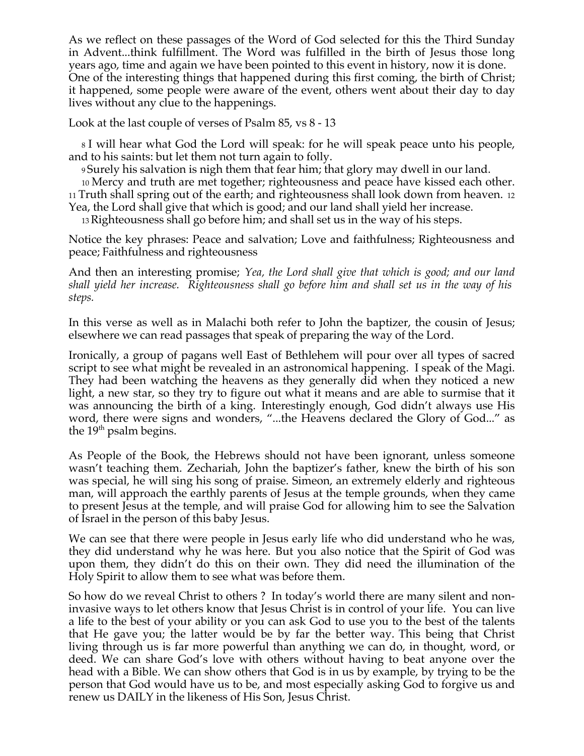As we reflect on these passages of the Word of God selected for this the Third Sunday in Advent...think fulfillment. The Word was fulfilled in the birth of Jesus those long years ago, time and again we have been pointed to this event in history, now it is done. One of the interesting things that happened during this first coming, the birth of Christ; it happened, some people were aware of the event, others went about their day to day lives without any clue to the happenings.

Look at the last couple of verses of Psalm 85, vs 8 - 13

<sup>8</sup> I will hear what God the Lord will speak: for he will speak peace unto his people, and to his saints: but let them not turn again to folly.

<sup>9</sup> Surely his salvation is nigh them that fear him; that glory may dwell in our land.

<sup>10</sup> Mercy and truth are met together; righteousness and peace have kissed each other. <sup>11</sup> Truth shall spring out of the earth; and righteousness shall look down from heaven. <sup>12</sup> Yea, the Lord shall give that which is good; and our land shall yield her increase.

13Righteousness shall go before him; and shall set us in the way of his steps.

Notice the key phrases: Peace and salvation; Love and faithfulness; Righteousness and peace; Faithfulness and righteousness

And then an interesting promise; *Yea, the Lord shall give that which is good; and our land shall yield her increase. Righteousness shall go before him and shall set us in the way of his steps.*

In this verse as well as in Malachi both refer to John the baptizer, the cousin of Jesus; elsewhere we can read passages that speak of preparing the way of the Lord.

Ironically, a group of pagans well East of Bethlehem will pour over all types of sacred script to see what might be revealed in an astronomical happening. I speak of the Magi. They had been watching the heavens as they generally did when they noticed a new light, a new star, so they try to figure out what it means and are able to surmise that it was announcing the birth of a king. Interestingly enough, God didn't always use His word, there were signs and wonders, "...the Heavens declared the Glory of God..." as the 19<sup>th</sup> psalm begins.

As People of the Book, the Hebrews should not have been ignorant, unless someone wasn't teaching them. Zechariah, John the baptizer's father, knew the birth of his son was special, he will sing his song of praise. Simeon, an extremely elderly and righteous man, will approach the earthly parents of Jesus at the temple grounds, when they came to present Jesus at the temple, and will praise God for allowing him to see the Salvation of Israel in the person of this baby Jesus.

We can see that there were people in Jesus early life who did understand who he was, they did understand why he was here. But you also notice that the Spirit of God was upon them, they didn't do this on their own. They did need the illumination of the Holy Spirit to allow them to see what was before them.

So how do we reveal Christ to others ? In today's world there are many silent and noninvasive ways to let others know that Jesus Christ is in control of your life. You can live a life to the best of your ability or you can ask God to use you to the best of the talents that He gave you; the latter would be by far the better way. This being that Christ living through us is far more powerful than anything we can do, in thought, word, or deed. We can share God's love with others without having to beat anyone over the head with a Bible. We can show others that God is in us by example, by trying to be the person that God would have us to be, and most especially asking God to forgive us and renew us DAILY in the likeness of His Son, Jesus Christ.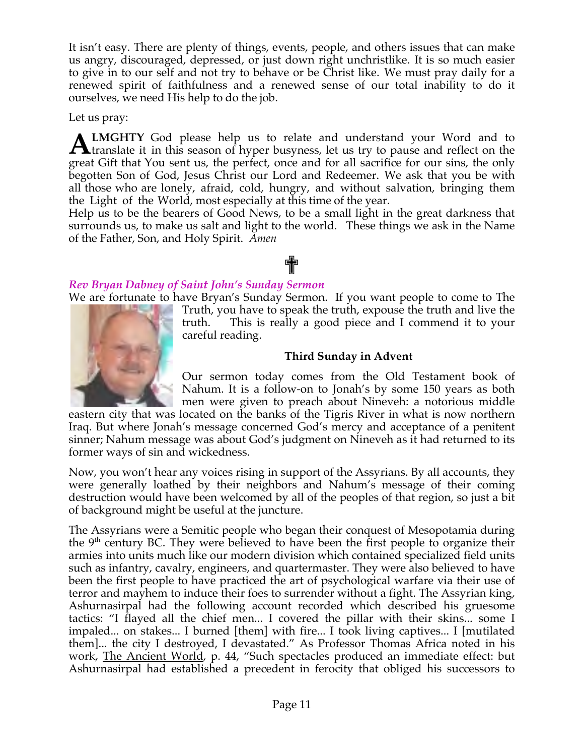It isn't easy. There are plenty of things, events, people, and others issues that can make us angry, discouraged, depressed, or just down right unchristlike. It is so much easier to give in to our self and not try to behave or be Christ like. We must pray daily for a renewed spirit of faithfulness and a renewed sense of our total inability to do it ourselves, we need His help to do the job.

Let us pray:

**LMGHTY** God please help us to relate and understand your Word and to **ALMGHTY** God please help us to relate and understand your Word and to translate it in this season of hyper busyness, let us try to pause and reflect on the great Gift that You sent us, the perfect, once and for all sacrifice for our sins, the only begotten Son of God, Jesus Christ our Lord and Redeemer. We ask that you be with all those who are lonely, afraid, cold, hungry, and without salvation, bringing them the Light of the World, most especially at this time of the year.

Help us to be the bearers of Good News, to be a small light in the great darkness that surrounds us, to make us salt and light to the world. These things we ask in the Name of the Father, Son, and Holy Spirit. *Amen*

# ✟

# *Rev Bryan Dabney of Saint John's Sunday Sermon*

We are fortunate to have Bryan's Sunday Sermon. If you want people to come to The



Truth, you have to speak the truth, expouse the truth and live the truth. This is really a good piece and I commend it to your careful reading.

# **Third Sunday in Advent**

Our sermon today comes from the Old Testament book of Nahum. It is a follow-on to Jonah's by some 150 years as both men were given to preach about Nineveh: a notorious middle

eastern city that was located on the banks of the Tigris River in what is now northern Iraq. But where Jonah's message concerned God's mercy and acceptance of a penitent sinner; Nahum message was about God's judgment on Nineveh as it had returned to its former ways of sin and wickedness.

Now, you won't hear any voices rising in support of the Assyrians. By all accounts, they were generally loathed by their neighbors and Nahum's message of their coming destruction would have been welcomed by all of the peoples of that region, so just a bit of background might be useful at the juncture.

The Assyrians were a Semitic people who began their conquest of Mesopotamia during the  $9<sup>th</sup>$  century BC. They were believed to have been the first people to organize their armies into units much like our modern division which contained specialized field units such as infantry, cavalry, engineers, and quartermaster. They were also believed to have been the first people to have practiced the art of psychological warfare via their use of terror and mayhem to induce their foes to surrender without a fight. The Assyrian king, Ashurnasirpal had the following account recorded which described his gruesome tactics: "I flayed all the chief men... I covered the pillar with their skins... some I impaled... on stakes... I burned [them] with fire... I took living captives... I [mutilated them]... the city I destroyed, I devastated." As Professor Thomas Africa noted in his work, The Ancient World, p. 44, "Such spectacles produced an immediate effect: but Ashurnasirpal had established a precedent in ferocity that obliged his successors to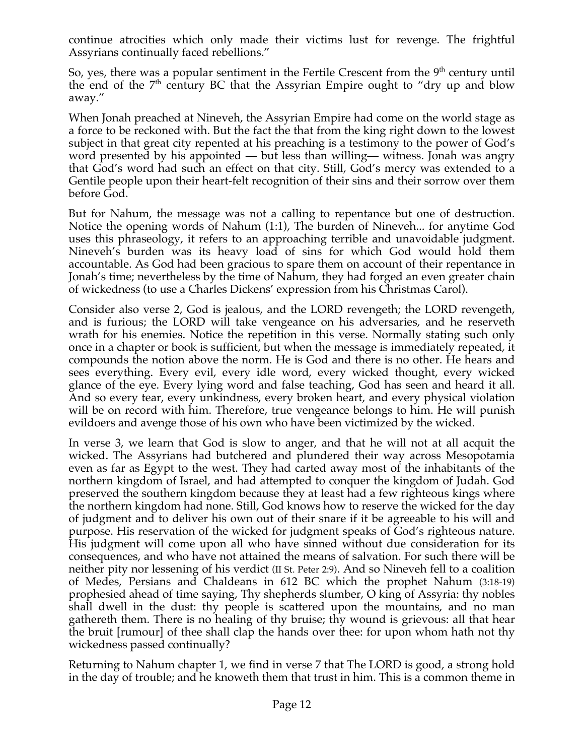continue atrocities which only made their victims lust for revenge. The frightful Assyrians continually faced rebellions."

So, yes, there was a popular sentiment in the Fertile Crescent from the  $9<sup>th</sup>$  century until the end of the  $7<sup>th</sup>$  century BC that the Assyrian Empire ought to "dry up and blow away."

When Jonah preached at Nineveh, the Assyrian Empire had come on the world stage as a force to be reckoned with. But the fact the that from the king right down to the lowest subject in that great city repented at his preaching is a testimony to the power of God's word presented by his appointed — but less than willing— witness. Jonah was angry that God's word had such an effect on that city. Still, God's mercy was extended to a Gentile people upon their heart-felt recognition of their sins and their sorrow over them before God.

But for Nahum, the message was not a calling to repentance but one of destruction. Notice the opening words of Nahum (1:1), The burden of Nineveh... for anytime God uses this phraseology, it refers to an approaching terrible and unavoidable judgment. Nineveh's burden was its heavy load of sins for which God would hold them accountable. As God had been gracious to spare them on account of their repentance in Jonah's time; nevertheless by the time of Nahum, they had forged an even greater chain of wickedness (to use a Charles Dickens' expression from his Christmas Carol).

Consider also verse 2, God is jealous, and the LORD revengeth; the LORD revengeth, and is furious; the LORD will take vengeance on his adversaries, and he reserveth wrath for his enemies. Notice the repetition in this verse. Normally stating such only once in a chapter or book is sufficient, but when the message is immediately repeated, it compounds the notion above the norm. He is God and there is no other. He hears and sees everything. Every evil, every idle word, every wicked thought, every wicked glance of the eye. Every lying word and false teaching, God has seen and heard it all. And so every tear, every unkindness, every broken heart, and every physical violation will be on record with him. Therefore, true vengeance belongs to him. He will punish evildoers and avenge those of his own who have been victimized by the wicked.

In verse 3, we learn that God is slow to anger, and that he will not at all acquit the wicked. The Assyrians had butchered and plundered their way across Mesopotamia even as far as Egypt to the west. They had carted away most of the inhabitants of the northern kingdom of Israel, and had attempted to conquer the kingdom of Judah. God preserved the southern kingdom because they at least had a few righteous kings where the northern kingdom had none. Still, God knows how to reserve the wicked for the day of judgment and to deliver his own out of their snare if it be agreeable to his will and purpose. His reservation of the wicked for judgment speaks of God's righteous nature. His judgment will come upon all who have sinned without due consideration for its consequences, and who have not attained the means of salvation. For such there will be neither pity nor lessening of his verdict (II St. Peter 2:9). And so Nineveh fell to a coalition of Medes, Persians and Chaldeans in 612 BC which the prophet Nahum (3:18-19) prophesied ahead of time saying, Thy shepherds slumber, O king of Assyria: thy nobles shall dwell in the dust: thy people is scattered upon the mountains, and no man gathereth them. There is no healing of thy bruise; thy wound is grievous: all that hear the bruit [rumour] of thee shall clap the hands over thee: for upon whom hath not thy wickedness passed continually?

Returning to Nahum chapter 1, we find in verse 7 that The LORD is good, a strong hold in the day of trouble; and he knoweth them that trust in him. This is a common theme in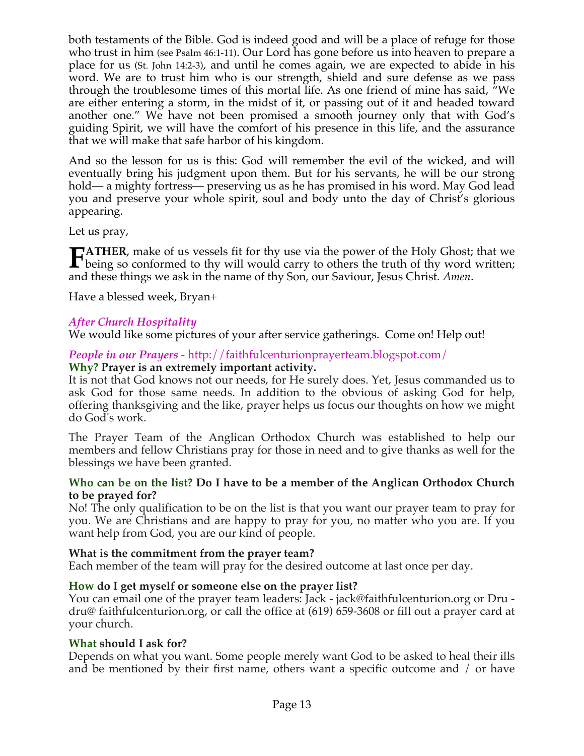both testaments of the Bible. God is indeed good and will be a place of refuge for those who trust in him (see Psalm 46:1-11). Our Lord has gone before us into heaven to prepare a place for us (St. John 14:2-3), and until he comes again, we are expected to abide in his word. We are to trust him who is our strength, shield and sure defense as we pass through the troublesome times of this mortal life. As one friend of mine has said, "We are either entering a storm, in the midst of it, or passing out of it and headed toward another one." We have not been promised a smooth journey only that with God's guiding Spirit, we will have the comfort of his presence in this life, and the assurance that we will make that safe harbor of his kingdom.

And so the lesson for us is this: God will remember the evil of the wicked, and will eventually bring his judgment upon them. But for his servants, he will be our strong hold— a mighty fortress— preserving us as he has promised in his word. May God lead you and preserve your whole spirit, soul and body unto the day of Christ's glorious appearing.

Let us pray,

**ATHER**, make of us vessels fit for thy use via the power of the Holy Ghost; that we **FATHER**, make of us vessels fit for thy use via the power of the Holy Ghost; that we being so conformed to thy will would carry to others the truth of thy word written; and these things we ask in the name of thy Son, our Saviour, Jesus Christ. *Amen*.

Have a blessed week, Bryan+

# *After Church Hospitality*

We would like some pictures of your after service gatherings. Come on! Help out!

# *People in our Prayers* - http://faithfulcenturionprayerteam.blogspot.com/ **Why? Prayer is an extremely important activity.**

It is not that God knows not our needs, for He surely does. Yet, Jesus commanded us to ask God for those same needs. In addition to the obvious of asking God for help, offering thanksgiving and the like, prayer helps us focus our thoughts on how we might do God's work.

The Prayer Team of the Anglican Orthodox Church was established to help our members and fellow Christians pray for those in need and to give thanks as well for the blessings we have been granted.

# **Who can be on the list? Do I have to be a member of the Anglican Orthodox Church to be prayed for?**

No! The only qualification to be on the list is that you want our prayer team to pray for you. We are Christians and are happy to pray for you, no matter who you are. If you want help from God, you are our kind of people.

# **What is the commitment from the prayer team?**

Each member of the team will pray for the desired outcome at last once per day.

# **How do I get myself or someone else on the prayer list?**

You can email one of the prayer team leaders: Jack - jack@faithfulcenturion.org or Dru dru@ faithfulcenturion.org, or call the office at (619) 659-3608 or fill out a prayer card at your church.

# **What should I ask for?**

Depends on what you want. Some people merely want God to be asked to heal their ills and be mentioned by their first name, others want a specific outcome and / or have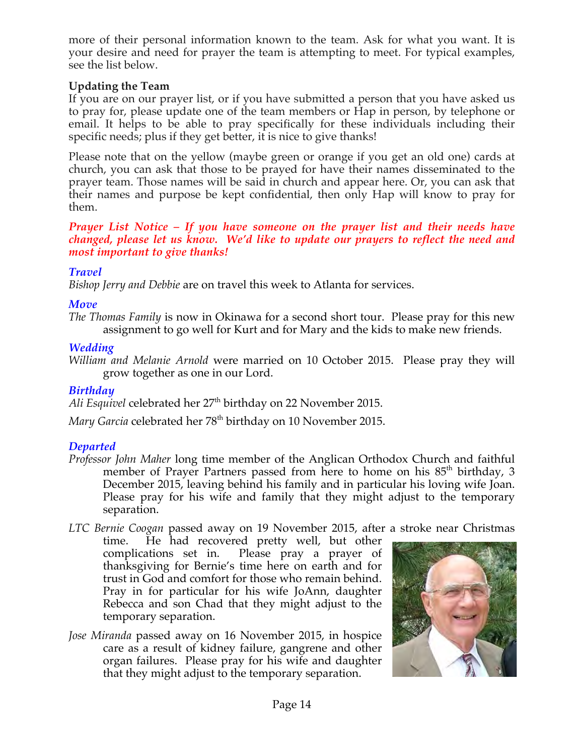more of their personal information known to the team. Ask for what you want. It is your desire and need for prayer the team is attempting to meet. For typical examples, see the list below.

# **Updating the Team**

If you are on our prayer list, or if you have submitted a person that you have asked us to pray for, please update one of the team members or Hap in person, by telephone or email. It helps to be able to pray specifically for these individuals including their specific needs; plus if they get better, it is nice to give thanks!

Please note that on the yellow (maybe green or orange if you get an old one) cards at church, you can ask that those to be prayed for have their names disseminated to the prayer team. Those names will be said in church and appear here. Or, you can ask that their names and purpose be kept confidential, then only Hap will know to pray for them.

### *Prayer List Notice – If you have someone on the prayer list and their needs have changed, please let us know. We'd like to update our prayers to reflect the need and most important to give thanks!*

# *Travel*

*Bishop Jerry and Debbie* are on travel this week to Atlanta for services.

# *Move*

*The Thomas Family* is now in Okinawa for a second short tour. Please pray for this new assignment to go well for Kurt and for Mary and the kids to make new friends.

# *Wedding*

*William and Melanie Arnold* were married on 10 October 2015. Please pray they will grow together as one in our Lord.

# *Birthday*

Ali Esquivel celebrated her 27<sup>th</sup> birthday on 22 November 2015.

*Mary Garcia* celebrated her 78<sup>th</sup> birthday on 10 November 2015.

# *Departed*

*Professor John Maher* long time member of the Anglican Orthodox Church and faithful member of Prayer Partners passed from here to home on his 85<sup>th</sup> birthday, 3 December 2015, leaving behind his family and in particular his loving wife Joan. Please pray for his wife and family that they might adjust to the temporary separation.

*LTC Bernie Coogan* passed away on 19 November 2015, after a stroke near Christmas

time. He had recovered pretty well, but other complications set in. Please pray a prayer of thanksgiving for Bernie's time here on earth and for trust in God and comfort for those who remain behind. Pray in for particular for his wife JoAnn, daughter Rebecca and son Chad that they might adjust to the temporary separation.

*Jose Miranda* passed away on 16 November 2015, in hospice care as a result of kidney failure, gangrene and other organ failures. Please pray for his wife and daughter that they might adjust to the temporary separation.

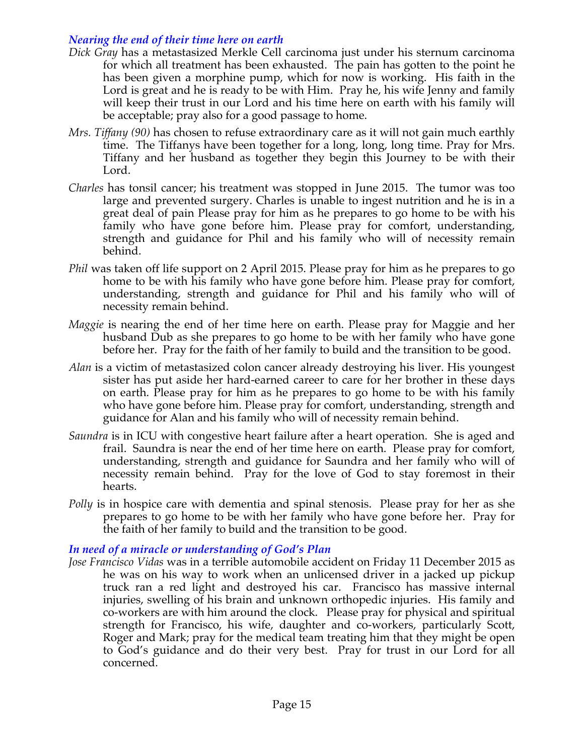# *Nearing the end of their time here on earth*

- *Dick Gray* has a metastasized Merkle Cell carcinoma just under his sternum carcinoma for which all treatment has been exhausted. The pain has gotten to the point he has been given a morphine pump, which for now is working. His faith in the Lord is great and he is ready to be with Him. Pray he, his wife Jenny and family will keep their trust in our Lord and his time here on earth with his family will be acceptable; pray also for a good passage to home.
- *Mrs. Tiffany (90)* has chosen to refuse extraordinary care as it will not gain much earthly time. The Tiffanys have been together for a long, long, long time. Pray for Mrs. Tiffany and her husband as together they begin this Journey to be with their Lord.
- *Charles* has tonsil cancer; his treatment was stopped in June 2015. The tumor was too large and prevented surgery. Charles is unable to ingest nutrition and he is in a great deal of pain Please pray for him as he prepares to go home to be with his family who have gone before him. Please pray for comfort, understanding, strength and guidance for Phil and his family who will of necessity remain behind.
- *Phil* was taken off life support on 2 April 2015. Please pray for him as he prepares to go home to be with his family who have gone before him. Please pray for comfort, understanding, strength and guidance for Phil and his family who will of necessity remain behind.
- *Maggie* is nearing the end of her time here on earth. Please pray for Maggie and her husband Dub as she prepares to go home to be with her family who have gone before her. Pray for the faith of her family to build and the transition to be good.
- *Alan* is a victim of metastasized colon cancer already destroying his liver. His youngest sister has put aside her hard-earned career to care for her brother in these days on earth. Please pray for him as he prepares to go home to be with his family who have gone before him. Please pray for comfort, understanding, strength and guidance for Alan and his family who will of necessity remain behind.
- *Saundra* is in ICU with congestive heart failure after a heart operation. She is aged and frail. Saundra is near the end of her time here on earth. Please pray for comfort, understanding, strength and guidance for Saundra and her family who will of necessity remain behind. Pray for the love of God to stay foremost in their hearts.
- *Polly* is in hospice care with dementia and spinal stenosis. Please pray for her as she prepares to go home to be with her family who have gone before her. Pray for the faith of her family to build and the transition to be good.

# *In need of a miracle or understanding of God's Plan*

*Jose Francisco Vidas* was in a terrible automobile accident on Friday 11 December 2015 as he was on his way to work when an unlicensed driver in a jacked up pickup truck ran a red light and destroyed his car. Francisco has massive internal injuries, swelling of his brain and unknown orthopedic injuries. His family and co-workers are with him around the clock. Please pray for physical and spiritual strength for Francisco, his wife, daughter and co-workers, particularly Scott, Roger and Mark; pray for the medical team treating him that they might be open to God's guidance and do their very best. Pray for trust in our Lord for all concerned.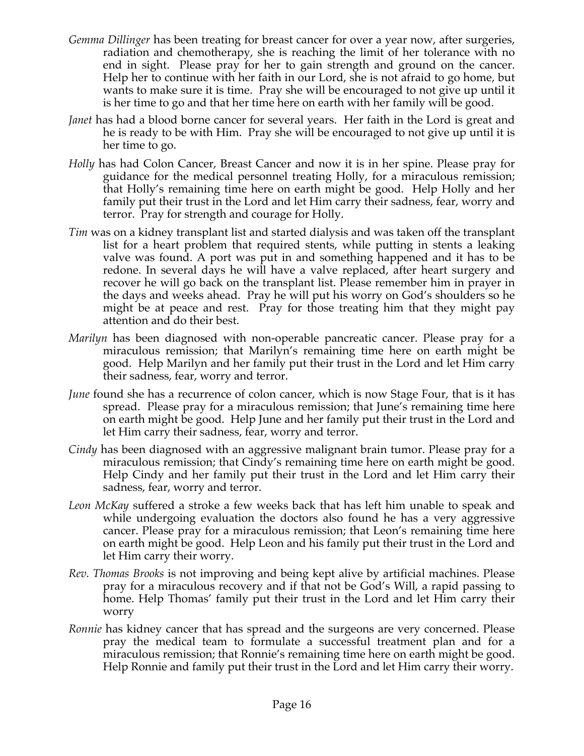- *Gemma Dillinger* has been treating for breast cancer for over a year now, after surgeries, radiation and chemotherapy, she is reaching the limit of her tolerance with no end in sight. Please pray for her to gain strength and ground on the cancer. Help her to continue with her faith in our Lord, she is not afraid to go home, but wants to make sure it is time. Pray she will be encouraged to not give up until it is her time to go and that her time here on earth with her family will be good.
- *Janet* has had a blood borne cancer for several years. Her faith in the Lord is great and he is ready to be with Him. Pray she will be encouraged to not give up until it is her time to go.
- *Holly* has had Colon Cancer, Breast Cancer and now it is in her spine. Please pray for guidance for the medical personnel treating Holly, for a miraculous remission; that Holly's remaining time here on earth might be good. Help Holly and her family put their trust in the Lord and let Him carry their sadness, fear, worry and terror. Pray for strength and courage for Holly.
- *Tim* was on a kidney transplant list and started dialysis and was taken off the transplant list for a heart problem that required stents, while putting in stents a leaking valve was found. A port was put in and something happened and it has to be redone. In several days he will have a valve replaced, after heart surgery and recover he will go back on the transplant list. Please remember him in prayer in the days and weeks ahead. Pray he will put his worry on God's shoulders so he might be at peace and rest. Pray for those treating him that they might pay attention and do their best.
- *Marilyn* has been diagnosed with non-operable pancreatic cancer. Please pray for a miraculous remission; that Marilyn's remaining time here on earth might be good. Help Marilyn and her family put their trust in the Lord and let Him carry their sadness, fear, worry and terror.
- *June* found she has a recurrence of colon cancer, which is now Stage Four, that is it has spread. Please pray for a miraculous remission; that June's remaining time here on earth might be good. Help June and her family put their trust in the Lord and let Him carry their sadness, fear, worry and terror.
- *Cindy* has been diagnosed with an aggressive malignant brain tumor. Please pray for a miraculous remission; that Cindy's remaining time here on earth might be good. Help Cindy and her family put their trust in the Lord and let Him carry their sadness, fear, worry and terror.
- *Leon McKay* suffered a stroke a few weeks back that has left him unable to speak and while undergoing evaluation the doctors also found he has a very aggressive cancer. Please pray for a miraculous remission; that Leon's remaining time here on earth might be good. Help Leon and his family put their trust in the Lord and let Him carry their worry.
- *Rev. Thomas Brooks* is not improving and being kept alive by artificial machines. Please pray for a miraculous recovery and if that not be God's Will, a rapid passing to home. Help Thomas' family put their trust in the Lord and let Him carry their worry
- *Ronnie* has kidney cancer that has spread and the surgeons are very concerned. Please pray the medical team to formulate a successful treatment plan and for a miraculous remission; that Ronnie's remaining time here on earth might be good. Help Ronnie and family put their trust in the Lord and let Him carry their worry.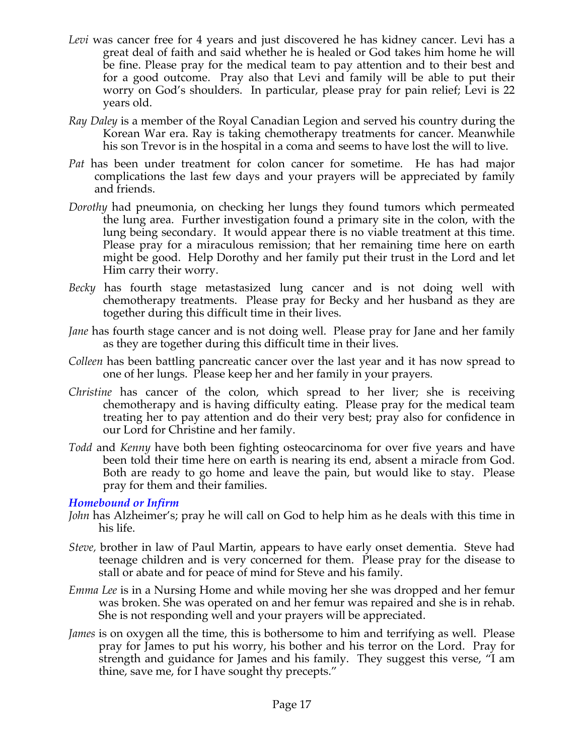- *Levi* was cancer free for 4 years and just discovered he has kidney cancer. Levi has a great deal of faith and said whether he is healed or God takes him home he will be fine. Please pray for the medical team to pay attention and to their best and for a good outcome. Pray also that Levi and family will be able to put their worry on God's shoulders. In particular, please pray for pain relief; Levi is 22 years old.
- *Ray Daley* is a member of the Royal Canadian Legion and served his country during the Korean War era. Ray is taking chemotherapy treatments for cancer. Meanwhile his son Trevor is in the hospital in a coma and seems to have lost the will to live.
- *Pat* has been under treatment for colon cancer for sometime. He has had major complications the last few days and your prayers will be appreciated by family and friends.
- *Dorothy* had pneumonia, on checking her lungs they found tumors which permeated the lung area. Further investigation found a primary site in the colon, with the lung being secondary. It would appear there is no viable treatment at this time. Please pray for a miraculous remission; that her remaining time here on earth might be good. Help Dorothy and her family put their trust in the Lord and let Him carry their worry.
- *Becky* has fourth stage metastasized lung cancer and is not doing well with chemotherapy treatments. Please pray for Becky and her husband as they are together during this difficult time in their lives.
- *Jane* has fourth stage cancer and is not doing well. Please pray for Jane and her family as they are together during this difficult time in their lives.
- *Colleen* has been battling pancreatic cancer over the last year and it has now spread to one of her lungs. Please keep her and her family in your prayers.
- *Christine* has cancer of the colon, which spread to her liver; she is receiving chemotherapy and is having difficulty eating. Please pray for the medical team treating her to pay attention and do their very best; pray also for confidence in our Lord for Christine and her family.
- *Todd* and *Kenny* have both been fighting osteocarcinoma for over five years and have been told their time here on earth is nearing its end, absent a miracle from God. Both are ready to go home and leave the pain, but would like to stay. Please pray for them and their families.

# *Homebound or Infirm*

- *John* has Alzheimer's; pray he will call on God to help him as he deals with this time in his life.
- *Steve,* brother in law of Paul Martin, appears to have early onset dementia. Steve had teenage children and is very concerned for them. Please pray for the disease to stall or abate and for peace of mind for Steve and his family.
- *Emma Lee* is in a Nursing Home and while moving her she was dropped and her femur was broken. She was operated on and her femur was repaired and she is in rehab. She is not responding well and your prayers will be appreciated.
- *James* is on oxygen all the time, this is bothersome to him and terrifying as well. Please pray for James to put his worry, his bother and his terror on the Lord. Pray for strength and guidance for James and his family. They suggest this verse, "I am thine, save me, for I have sought thy precepts."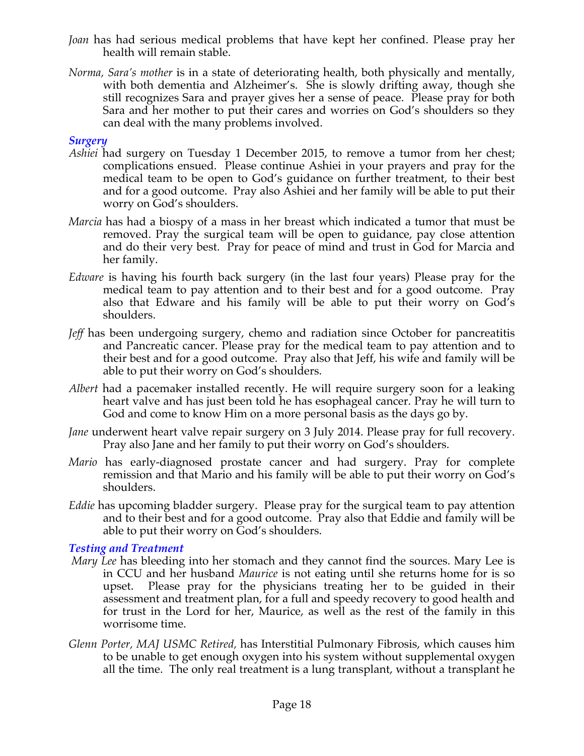- *Joan* has had serious medical problems that have kept her confined. Please pray her health will remain stable.
- *Norma, Sara's mother* is in a state of deteriorating health, both physically and mentally, with both dementia and Alzheimer's. She is slowly drifting away, though she still recognizes Sara and prayer gives her a sense of peace. Please pray for both Sara and her mother to put their cares and worries on God's shoulders so they can deal with the many problems involved.

# *Surgery*

- *Ashiei* had surgery on Tuesday 1 December 2015, to remove a tumor from her chest; complications ensued. Please continue Ashiei in your prayers and pray for the medical team to be open to God's guidance on further treatment, to their best and for a good outcome. Pray also Ashiei and her family will be able to put their worry on God's shoulders.
- *Marcia* has had a biospy of a mass in her breast which indicated a tumor that must be removed. Pray the surgical team will be open to guidance, pay close attention and do their very best. Pray for peace of mind and trust in God for Marcia and her family.
- *Edware* is having his fourth back surgery (in the last four years) Please pray for the medical team to pay attention and to their best and for a good outcome. Pray also that Edware and his family will be able to put their worry on God's shoulders.
- *Jeff* has been undergoing surgery, chemo and radiation since October for pancreatitis and Pancreatic cancer. Please pray for the medical team to pay attention and to their best and for a good outcome. Pray also that Jeff, his wife and family will be able to put their worry on God's shoulders.
- *Albert* had a pacemaker installed recently. He will require surgery soon for a leaking heart valve and has just been told he has esophageal cancer. Pray he will turn to God and come to know Him on a more personal basis as the days go by.
- *Jane* underwent heart valve repair surgery on 3 July 2014. Please pray for full recovery. Pray also Jane and her family to put their worry on God's shoulders.
- *Mario* has early-diagnosed prostate cancer and had surgery. Pray for complete remission and that Mario and his family will be able to put their worry on God's shoulders.
- *Eddie* has upcoming bladder surgery. Please pray for the surgical team to pay attention and to their best and for a good outcome. Pray also that Eddie and family will be able to put their worry on God's shoulders.

# *Testing and Treatment*

- *Mary Lee* has bleeding into her stomach and they cannot find the sources. Mary Lee is in CCU and her husband *Maurice* is not eating until she returns home for is so upset. Please pray for the physicians treating her to be guided in their assessment and treatment plan, for a full and speedy recovery to good health and for trust in the Lord for her, Maurice, as well as the rest of the family in this worrisome time.
- *Glenn Porter, MAJ USMC Retired,* has Interstitial Pulmonary Fibrosis, which causes him to be unable to get enough oxygen into his system without supplemental oxygen all the time. The only real treatment is a lung transplant, without a transplant he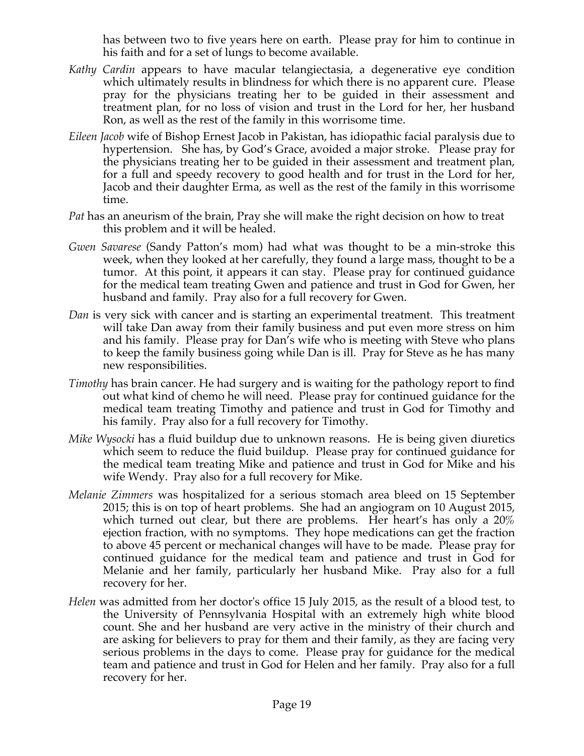has between two to five years here on earth. Please pray for him to continue in his faith and for a set of lungs to become available.

- *Kathy Cardin* appears to have macular telangiectasia, a degenerative eye condition which ultimately results in blindness for which there is no apparent cure. Please pray for the physicians treating her to be guided in their assessment and treatment plan, for no loss of vision and trust in the Lord for her, her husband Ron, as well as the rest of the family in this worrisome time.
- *Eileen Jacob* wife of Bishop Ernest Jacob in Pakistan, has idiopathic facial paralysis due to hypertension. She has, by God's Grace, avoided a major stroke. Please pray for the physicians treating her to be guided in their assessment and treatment plan, for a full and speedy recovery to good health and for trust in the Lord for her, Jacob and their daughter Erma, as well as the rest of the family in this worrisome time.
- *Pat* has an aneurism of the brain, Pray she will make the right decision on how to treat this problem and it will be healed.
- *Gwen Savarese* (Sandy Patton's mom) had what was thought to be a min-stroke this week, when they looked at her carefully, they found a large mass, thought to be a tumor. At this point, it appears it can stay. Please pray for continued guidance for the medical team treating Gwen and patience and trust in God for Gwen, her husband and family. Pray also for a full recovery for Gwen.
- *Dan* is very sick with cancer and is starting an experimental treatment. This treatment will take Dan away from their family business and put even more stress on him and his family. Please pray for Dan's wife who is meeting with Steve who plans to keep the family business going while Dan is ill. Pray for Steve as he has many new responsibilities.
- *Timothy* has brain cancer. He had surgery and is waiting for the pathology report to find out what kind of chemo he will need. Please pray for continued guidance for the medical team treating Timothy and patience and trust in God for Timothy and his family. Pray also for a full recovery for Timothy.
- *Mike Wysocki* has a fluid buildup due to unknown reasons. He is being given diuretics which seem to reduce the fluid buildup. Please pray for continued guidance for the medical team treating Mike and patience and trust in God for Mike and his wife Wendy. Pray also for a full recovery for Mike.
- *Melanie Zimmers* was hospitalized for a serious stomach area bleed on 15 September 2015; this is on top of heart problems. She had an angiogram on 10 August 2015, which turned out clear, but there are problems. Her heart's has only a 20% ejection fraction, with no symptoms. They hope medications can get the fraction to above 45 percent or mechanical changes will have to be made. Please pray for continued guidance for the medical team and patience and trust in God for Melanie and her family, particularly her husband Mike. Pray also for a full recovery for her.
- *Helen* was admitted from her doctor's office 15 July 2015, as the result of a blood test, to the University of Pennsylvania Hospital with an extremely high white blood count. She and her husband are very active in the ministry of their church and are asking for believers to pray for them and their family, as they are facing very serious problems in the days to come. Please pray for guidance for the medical team and patience and trust in God for Helen and her family. Pray also for a full recovery for her.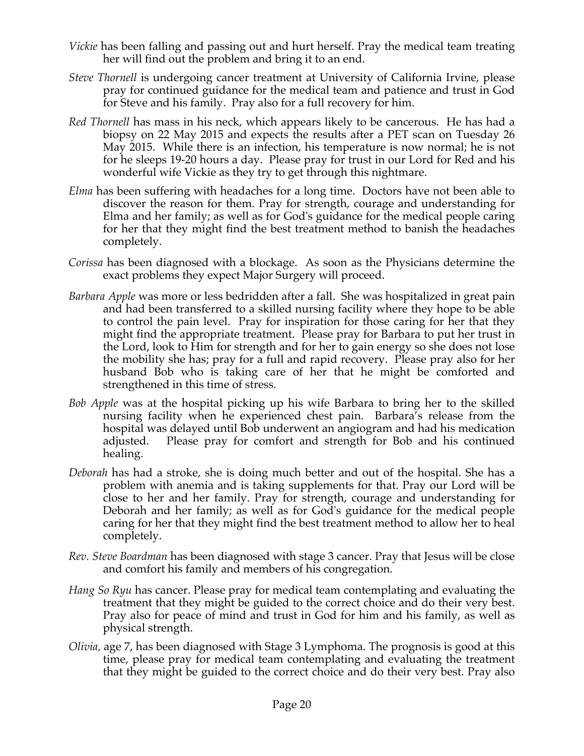- *Vickie* has been falling and passing out and hurt herself. Pray the medical team treating her will find out the problem and bring it to an end.
- *Steve Thornell* is undergoing cancer treatment at University of California Irvine, please pray for continued guidance for the medical team and patience and trust in God for Steve and his family. Pray also for a full recovery for him.
- *Red Thornell* has mass in his neck, which appears likely to be cancerous. He has had a biopsy on 22 May 2015 and expects the results after a PET scan on Tuesday 26 May 2015. While there is an infection, his temperature is now normal; he is not for he sleeps 19-20 hours a day. Please pray for trust in our Lord for Red and his wonderful wife Vickie as they try to get through this nightmare.
- *Elma* has been suffering with headaches for a long time. Doctors have not been able to discover the reason for them. Pray for strength, courage and understanding for Elma and her family; as well as for God's guidance for the medical people caring for her that they might find the best treatment method to banish the headaches completely.
- *Corissa* has been diagnosed with a blockage. As soon as the Physicians determine the exact problems they expect Major Surgery will proceed.
- *Barbara Apple* was more or less bedridden after a fall. She was hospitalized in great pain and had been transferred to a skilled nursing facility where they hope to be able to control the pain level. Pray for inspiration for those caring for her that they might find the appropriate treatment. Please pray for Barbara to put her trust in the Lord, look to Him for strength and for her to gain energy so she does not lose the mobility she has; pray for a full and rapid recovery. Please pray also for her husband Bob who is taking care of her that he might be comforted and strengthened in this time of stress.
- *Bob Apple* was at the hospital picking up his wife Barbara to bring her to the skilled nursing facility when he experienced chest pain. Barbara's release from the hospital was delayed until Bob underwent an angiogram and had his medication adjusted. Please pray for comfort and strength for Bob and his continued healing.
- *Deborah* has had a stroke, she is doing much better and out of the hospital. She has a problem with anemia and is taking supplements for that. Pray our Lord will be close to her and her family. Pray for strength, courage and understanding for Deborah and her family; as well as for God's guidance for the medical people caring for her that they might find the best treatment method to allow her to heal completely.
- *Rev. Steve Boardman* has been diagnosed with stage 3 cancer. Pray that Jesus will be close and comfort his family and members of his congregation*.*
- *Hang So Ryu* has cancer. Please pray for medical team contemplating and evaluating the treatment that they might be guided to the correct choice and do their very best. Pray also for peace of mind and trust in God for him and his family, as well as physical strength.
- *Olivia,* age 7, has been diagnosed with Stage 3 Lymphoma. The prognosis is good at this time, please pray for medical team contemplating and evaluating the treatment that they might be guided to the correct choice and do their very best. Pray also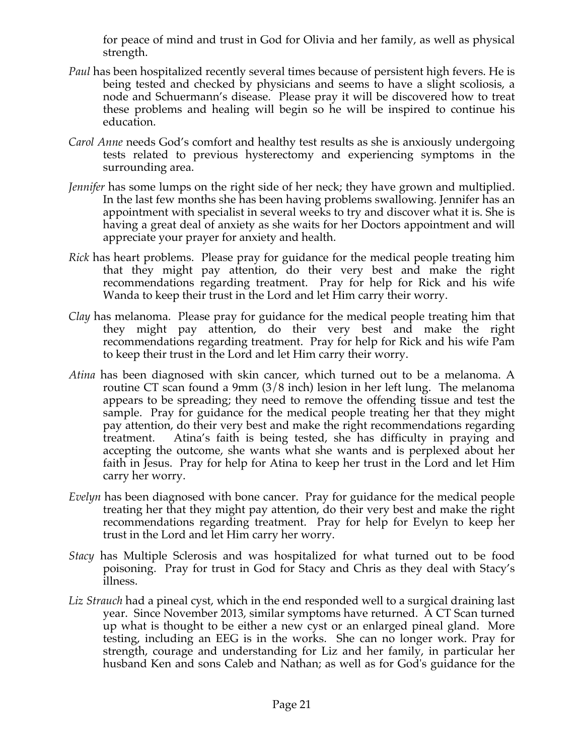for peace of mind and trust in God for Olivia and her family, as well as physical strength.

- *Paul* has been hospitalized recently several times because of persistent high fevers. He is being tested and checked by physicians and seems to have a slight scoliosis, a node and Schuermann's disease. Please pray it will be discovered how to treat these problems and healing will begin so he will be inspired to continue his education.
- *Carol Anne* needs God's comfort and healthy test results as she is anxiously undergoing tests related to previous hysterectomy and experiencing symptoms in the surrounding area.
- *Jennifer* has some lumps on the right side of her neck; they have grown and multiplied. In the last few months she has been having problems swallowing. Jennifer has an appointment with specialist in several weeks to try and discover what it is. She is having a great deal of anxiety as she waits for her Doctors appointment and will appreciate your prayer for anxiety and health.
- *Rick* has heart problems. Please pray for guidance for the medical people treating him that they might pay attention, do their very best and make the right recommendations regarding treatment. Pray for help for Rick and his wife Wanda to keep their trust in the Lord and let Him carry their worry.
- *Clay* has melanoma. Please pray for guidance for the medical people treating him that they might pay attention, do their very best and make the right recommendations regarding treatment. Pray for help for Rick and his wife Pam to keep their trust in the Lord and let Him carry their worry.
- *Atina* has been diagnosed with skin cancer, which turned out to be a melanoma. A routine CT scan found a 9mm (3/8 inch) lesion in her left lung. The melanoma appears to be spreading; they need to remove the offending tissue and test the sample. Pray for guidance for the medical people treating her that they might pay attention, do their very best and make the right recommendations regarding treatment. Atina's faith is being tested, she has difficulty in praying and accepting the outcome, she wants what she wants and is perplexed about her faith in Jesus. Pray for help for Atina to keep her trust in the Lord and let Him carry her worry.
- *Evelyn* has been diagnosed with bone cancer. Pray for guidance for the medical people treating her that they might pay attention, do their very best and make the right recommendations regarding treatment. Pray for help for Evelyn to keep her trust in the Lord and let Him carry her worry.
- *Stacy* has Multiple Sclerosis and was hospitalized for what turned out to be food poisoning. Pray for trust in God for Stacy and Chris as they deal with Stacy's illness.
- *Liz Strauch* had a pineal cyst, which in the end responded well to a surgical draining last year. Since November 2013, similar symptoms have returned. A CT Scan turned up what is thought to be either a new cyst or an enlarged pineal gland. More testing, including an EEG is in the works. She can no longer work. Pray for strength, courage and understanding for Liz and her family, in particular her husband Ken and sons Caleb and Nathan; as well as for God's guidance for the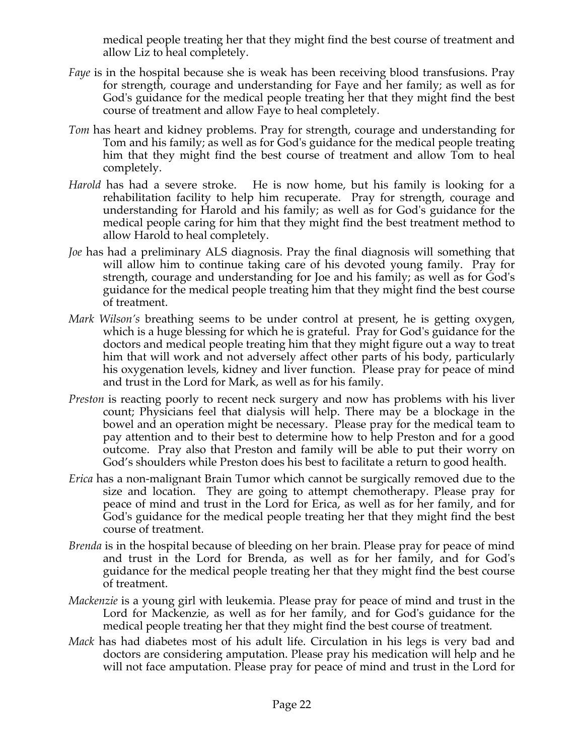medical people treating her that they might find the best course of treatment and allow Liz to heal completely.

- *Faye* is in the hospital because she is weak has been receiving blood transfusions. Pray for strength, courage and understanding for Faye and her family; as well as for God's guidance for the medical people treating her that they might find the best course of treatment and allow Faye to heal completely.
- *Tom* has heart and kidney problems. Pray for strength, courage and understanding for Tom and his family; as well as for God's guidance for the medical people treating him that they might find the best course of treatment and allow Tom to heal completely.
- *Harold* has had a severe stroke. He is now home, but his family is looking for a rehabilitation facility to help him recuperate. Pray for strength, courage and understanding for Harold and his family; as well as for God's guidance for the medical people caring for him that they might find the best treatment method to allow Harold to heal completely.
- *Joe* has had a preliminary ALS diagnosis. Pray the final diagnosis will something that will allow him to continue taking care of his devoted young family. Pray for strength, courage and understanding for Joe and his family; as well as for God's guidance for the medical people treating him that they might find the best course of treatment.
- *Mark Wilson's* breathing seems to be under control at present, he is getting oxygen, which is a huge blessing for which he is grateful. Pray for God's guidance for the doctors and medical people treating him that they might figure out a way to treat him that will work and not adversely affect other parts of his body, particularly his oxygenation levels, kidney and liver function. Please pray for peace of mind and trust in the Lord for Mark, as well as for his family.
- *Preston* is reacting poorly to recent neck surgery and now has problems with his liver count; Physicians feel that dialysis will help. There may be a blockage in the bowel and an operation might be necessary. Please pray for the medical team to pay attention and to their best to determine how to help Preston and for a good outcome. Pray also that Preston and family will be able to put their worry on God's shoulders while Preston does his best to facilitate a return to good health.
- *Erica* has a non-malignant Brain Tumor which cannot be surgically removed due to the size and location. They are going to attempt chemotherapy. Please pray for peace of mind and trust in the Lord for Erica, as well as for her family, and for God's guidance for the medical people treating her that they might find the best course of treatment.
- *Brenda* is in the hospital because of bleeding on her brain. Please pray for peace of mind and trust in the Lord for Brenda, as well as for her family, and for God's guidance for the medical people treating her that they might find the best course of treatment.
- *Mackenzie* is a young girl with leukemia. Please pray for peace of mind and trust in the Lord for Mackenzie, as well as for her family, and for God's guidance for the medical people treating her that they might find the best course of treatment.
- *Mack* has had diabetes most of his adult life. Circulation in his legs is very bad and doctors are considering amputation. Please pray his medication will help and he will not face amputation. Please pray for peace of mind and trust in the Lord for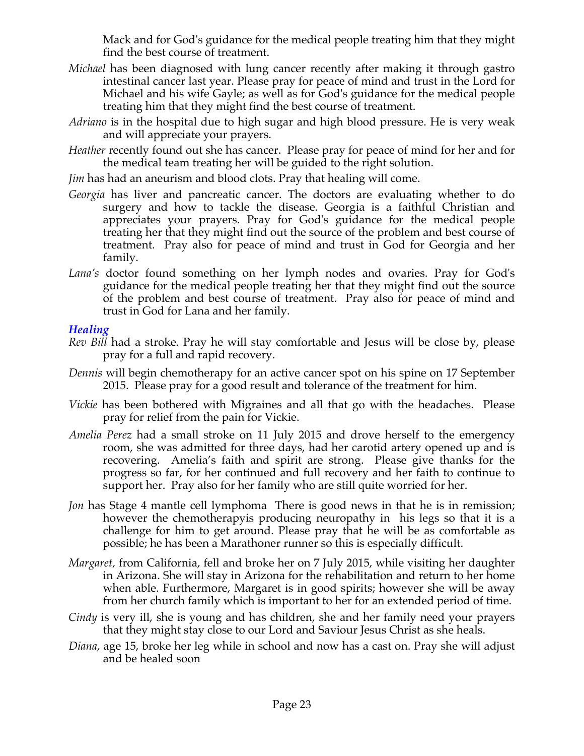Mack and for God's guidance for the medical people treating him that they might find the best course of treatment.

- *Michael* has been diagnosed with lung cancer recently after making it through gastro intestinal cancer last year. Please pray for peace of mind and trust in the Lord for Michael and his wife Gayle; as well as for God's guidance for the medical people treating him that they might find the best course of treatment.
- *Adriano* is in the hospital due to high sugar and high blood pressure. He is very weak and will appreciate your prayers.
- *Heather* recently found out she has cancer. Please pray for peace of mind for her and for the medical team treating her will be guided to the right solution.
- *Jim* has had an aneurism and blood clots. Pray that healing will come.
- *Georgia* has liver and pancreatic cancer. The doctors are evaluating whether to do surgery and how to tackle the disease. Georgia is a faithful Christian and appreciates your prayers. Pray for God's guidance for the medical people treating her that they might find out the source of the problem and best course of treatment. Pray also for peace of mind and trust in God for Georgia and her family.
- *Lana's* doctor found something on her lymph nodes and ovaries. Pray for God's guidance for the medical people treating her that they might find out the source of the problem and best course of treatment. Pray also for peace of mind and trust in God for Lana and her family.

# *Healing*

- *Rev Bill* had a stroke. Pray he will stay comfortable and Jesus will be close by, please pray for a full and rapid recovery.
- *Dennis* will begin chemotherapy for an active cancer spot on his spine on 17 September 2015. Please pray for a good result and tolerance of the treatment for him.
- *Vickie* has been bothered with Migraines and all that go with the headaches. Please pray for relief from the pain for Vickie.
- *Amelia Perez* had a small stroke on 11 July 2015 and drove herself to the emergency room, she was admitted for three days, had her carotid artery opened up and is recovering. Amelia's faith and spirit are strong. Please give thanks for the progress so far, for her continued and full recovery and her faith to continue to support her. Pray also for her family who are still quite worried for her.
- *Jon* has Stage 4 mantle cell lymphoma There is good news in that he is in remission; however the chemotherapyis producing neuropathy in his legs so that it is a challenge for him to get around. Please pray that he will be as comfortable as possible; he has been a Marathoner runner so this is especially difficult.
- *Margaret,* from California, fell and broke her on 7 July 2015, while visiting her daughter in Arizona. She will stay in Arizona for the rehabilitation and return to her home when able. Furthermore, Margaret is in good spirits; however she will be away from her church family which is important to her for an extended period of time.
- *Cindy* is very ill, she is young and has children, she and her family need your prayers that they might stay close to our Lord and Saviour Jesus Christ as she heals.
- *Diana*, age 15, broke her leg while in school and now has a cast on. Pray she will adjust and be healed soon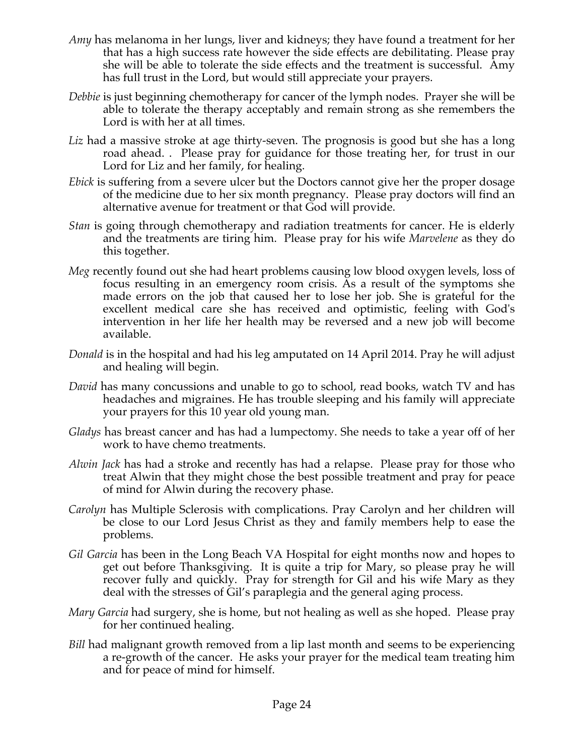- *Amy* has melanoma in her lungs, liver and kidneys; they have found a treatment for her that has a high success rate however the side effects are debilitating. Please pray she will be able to tolerate the side effects and the treatment is successful. Amy has full trust in the Lord, but would still appreciate your prayers.
- *Debbie* is just beginning chemotherapy for cancer of the lymph nodes. Prayer she will be able to tolerate the therapy acceptably and remain strong as she remembers the Lord is with her at all times.
- Liz had a massive stroke at age thirty-seven. The prognosis is good but she has a long road ahead. . Please pray for guidance for those treating her, for trust in our Lord for Liz and her family, for healing.
- *Ebick* is suffering from a severe ulcer but the Doctors cannot give her the proper dosage of the medicine due to her six month pregnancy. Please pray doctors will find an alternative avenue for treatment or that God will provide.
- *Stan* is going through chemotherapy and radiation treatments for cancer. He is elderly and the treatments are tiring him. Please pray for his wife *Marvelene* as they do this together.
- *Meg* recently found out she had heart problems causing low blood oxygen levels, loss of focus resulting in an emergency room crisis. As a result of the symptoms she made errors on the job that caused her to lose her job. She is grateful for the excellent medical care she has received and optimistic, feeling with God's intervention in her life her health may be reversed and a new job will become available.
- *Donald* is in the hospital and had his leg amputated on 14 April 2014. Pray he will adjust and healing will begin.
- *David* has many concussions and unable to go to school, read books, watch TV and has headaches and migraines. He has trouble sleeping and his family will appreciate your prayers for this 10 year old young man.
- *Gladys* has breast cancer and has had a lumpectomy. She needs to take a year off of her work to have chemo treatments.
- *Alwin Jack* has had a stroke and recently has had a relapse. Please pray for those who treat Alwin that they might chose the best possible treatment and pray for peace of mind for Alwin during the recovery phase.
- *Carolyn* has Multiple Sclerosis with complications. Pray Carolyn and her children will be close to our Lord Jesus Christ as they and family members help to ease the problems.
- *Gil Garcia* has been in the Long Beach VA Hospital for eight months now and hopes to get out before Thanksgiving. It is quite a trip for Mary, so please pray he will recover fully and quickly. Pray for strength for Gil and his wife Mary as they deal with the stresses of Gil's paraplegia and the general aging process.
- *Mary Garcia* had surgery, she is home, but not healing as well as she hoped. Please pray for her continued healing.
- *Bill* had malignant growth removed from a lip last month and seems to be experiencing a re-growth of the cancer. He asks your prayer for the medical team treating him and for peace of mind for himself.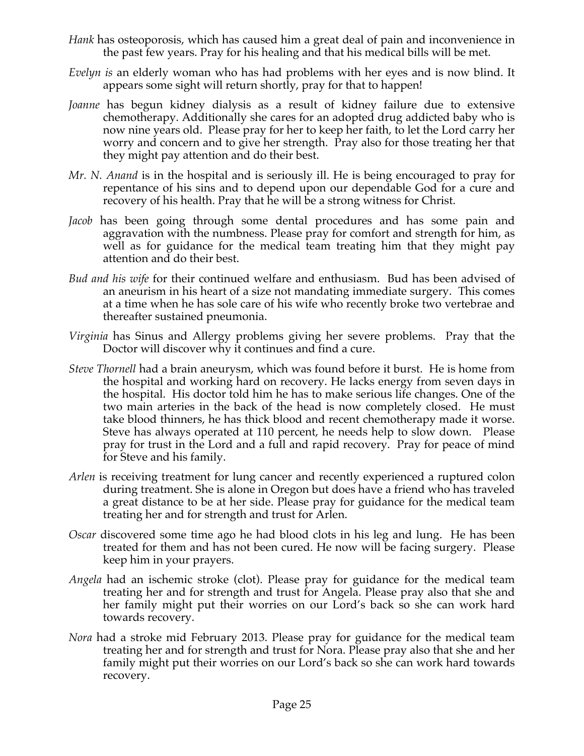- *Hank* has osteoporosis, which has caused him a great deal of pain and inconvenience in the past few years. Pray for his healing and that his medical bills will be met.
- *Evelyn is* an elderly woman who has had problems with her eyes and is now blind. It appears some sight will return shortly, pray for that to happen!
- *Joanne* has begun kidney dialysis as a result of kidney failure due to extensive chemotherapy. Additionally she cares for an adopted drug addicted baby who is now nine years old. Please pray for her to keep her faith, to let the Lord carry her worry and concern and to give her strength. Pray also for those treating her that they might pay attention and do their best.
- *Mr. N. Anand* is in the hospital and is seriously ill. He is being encouraged to pray for repentance of his sins and to depend upon our dependable God for a cure and recovery of his health. Pray that he will be a strong witness for Christ.
- *Jacob* has been going through some dental procedures and has some pain and aggravation with the numbness. Please pray for comfort and strength for him, as well as for guidance for the medical team treating him that they might pay attention and do their best.
- *Bud and his wife* for their continued welfare and enthusiasm. Bud has been advised of an aneurism in his heart of a size not mandating immediate surgery. This comes at a time when he has sole care of his wife who recently broke two vertebrae and thereafter sustained pneumonia.
- *Virginia* has Sinus and Allergy problems giving her severe problems. Pray that the Doctor will discover why it continues and find a cure.
- *Steve Thornell* had a brain aneurysm, which was found before it burst. He is home from the hospital and working hard on recovery. He lacks energy from seven days in the hospital. His doctor told him he has to make serious life changes. One of the two main arteries in the back of the head is now completely closed. He must take blood thinners, he has thick blood and recent chemotherapy made it worse. Steve has always operated at 110 percent, he needs help to slow down. Please pray for trust in the Lord and a full and rapid recovery. Pray for peace of mind for Steve and his family.
- *Arlen* is receiving treatment for lung cancer and recently experienced a ruptured colon during treatment. She is alone in Oregon but does have a friend who has traveled a great distance to be at her side. Please pray for guidance for the medical team treating her and for strength and trust for Arlen.
- *Oscar* discovered some time ago he had blood clots in his leg and lung. He has been treated for them and has not been cured. He now will be facing surgery. Please keep him in your prayers.
- *Angela* had an ischemic stroke (clot). Please pray for guidance for the medical team treating her and for strength and trust for Angela. Please pray also that she and her family might put their worries on our Lord's back so she can work hard towards recovery.
- *Nora* had a stroke mid February 2013. Please pray for guidance for the medical team treating her and for strength and trust for Nora. Please pray also that she and her family might put their worries on our Lord's back so she can work hard towards recovery.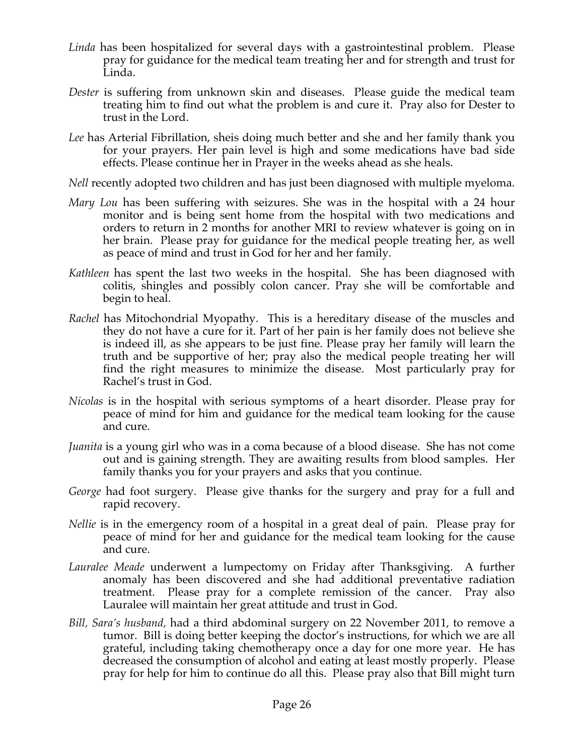- *Linda* has been hospitalized for several days with a gastrointestinal problem. Please pray for guidance for the medical team treating her and for strength and trust for Linda.
- *Dester* is suffering from unknown skin and diseases. Please guide the medical team treating him to find out what the problem is and cure it. Pray also for Dester to trust in the Lord.
- *Lee* has Arterial Fibrillation, sheis doing much better and she and her family thank you for your prayers. Her pain level is high and some medications have bad side effects. Please continue her in Prayer in the weeks ahead as she heals.
- *Nell* recently adopted two children and has just been diagnosed with multiple myeloma.
- *Mary Lou* has been suffering with seizures. She was in the hospital with a 24 hour monitor and is being sent home from the hospital with two medications and orders to return in 2 months for another MRI to review whatever is going on in her brain. Please pray for guidance for the medical people treating her, as well as peace of mind and trust in God for her and her family.
- *Kathleen* has spent the last two weeks in the hospital. She has been diagnosed with colitis, shingles and possibly colon cancer. Pray she will be comfortable and begin to heal.
- *Rachel* has Mitochondrial Myopathy. This is a hereditary disease of the muscles and they do not have a cure for it. Part of her pain is her family does not believe she is indeed ill, as she appears to be just fine. Please pray her family will learn the truth and be supportive of her; pray also the medical people treating her will find the right measures to minimize the disease. Most particularly pray for Rachel's trust in God.
- *Nicolas* is in the hospital with serious symptoms of a heart disorder. Please pray for peace of mind for him and guidance for the medical team looking for the cause and cure.
- *Juanita* is a young girl who was in a coma because of a blood disease. She has not come out and is gaining strength. They are awaiting results from blood samples. Her family thanks you for your prayers and asks that you continue.
- *George* had foot surgery. Please give thanks for the surgery and pray for a full and rapid recovery.
- *Nellie* is in the emergency room of a hospital in a great deal of pain. Please pray for peace of mind for her and guidance for the medical team looking for the cause and cure.
- *Lauralee Meade* underwent a lumpectomy on Friday after Thanksgiving. A further anomaly has been discovered and she had additional preventative radiation treatment. Please pray for a complete remission of the cancer. Pray also Lauralee will maintain her great attitude and trust in God.
- *Bill, Sara's husband,* had a third abdominal surgery on 22 November 2011, to remove a tumor. Bill is doing better keeping the doctor's instructions, for which we are all grateful, including taking chemotherapy once a day for one more year. He has decreased the consumption of alcohol and eating at least mostly properly. Please pray for help for him to continue do all this. Please pray also that Bill might turn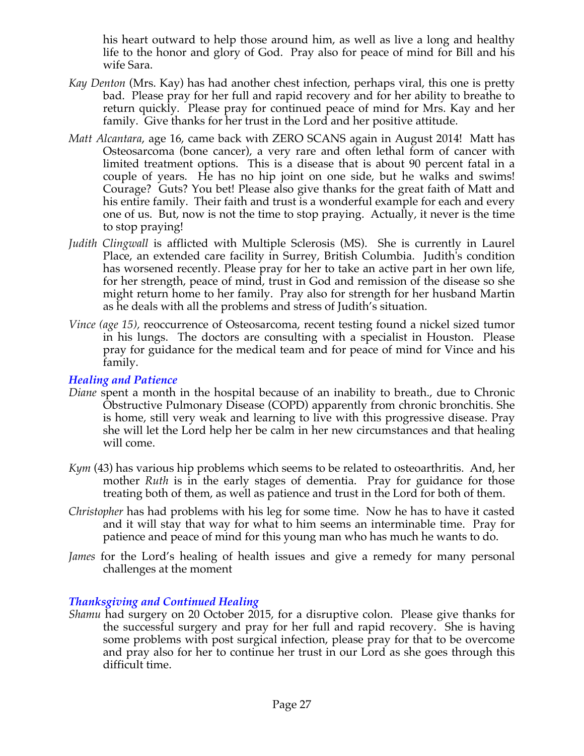his heart outward to help those around him, as well as live a long and healthy life to the honor and glory of God. Pray also for peace of mind for Bill and his wife Sara.

- *Kay Denton* (Mrs. Kay) has had another chest infection, perhaps viral, this one is pretty bad. Please pray for her full and rapid recovery and for her ability to breathe to return quickly. Please pray for continued peace of mind for Mrs. Kay and her family. Give thanks for her trust in the Lord and her positive attitude.
- *Matt Alcantara*, age 16, came back with ZERO SCANS again in August 2014! Matt has Osteosarcoma (bone cancer), a very rare and often lethal form of cancer with limited treatment options. This is a disease that is about 90 percent fatal in a couple of years. He has no hip joint on one side, but he walks and swims! Courage? Guts? You bet! Please also give thanks for the great faith of Matt and his entire family. Their faith and trust is a wonderful example for each and every one of us. But, now is not the time to stop praying. Actually, it never is the time to stop praying!
- *Judith Clingwall* is afflicted with Multiple Sclerosis (MS). She is currently in Laurel Place, an extended care facility in Surrey, British Columbia. Judith's condition has worsened recently. Please pray for her to take an active part in her own life, for her strength, peace of mind, trust in God and remission of the disease so she might return home to her family. Pray also for strength for her husband Martin as he deals with all the problems and stress of Judith's situation.
- *Vince (age 15),* reoccurrence of Osteosarcoma, recent testing found a nickel sized tumor in his lungs. The doctors are consulting with a specialist in Houston. Please pray for guidance for the medical team and for peace of mind for Vince and his family.

### *Healing and Patience*

- *Diane* spent a month in the hospital because of an inability to breath., due to Chronic Obstructive Pulmonary Disease (COPD) apparently from chronic bronchitis. She is home, still very weak and learning to live with this progressive disease. Pray she will let the Lord help her be calm in her new circumstances and that healing will come.
- *Kym* (43) has various hip problems which seems to be related to osteoarthritis. And, her mother *Ruth* is in the early stages of dementia. Pray for guidance for those treating both of them, as well as patience and trust in the Lord for both of them.
- *Christopher* has had problems with his leg for some time. Now he has to have it casted and it will stay that way for what to him seems an interminable time. Pray for patience and peace of mind for this young man who has much he wants to do.
- *James* for the Lord's healing of health issues and give a remedy for many personal challenges at the moment

# *Thanksgiving and Continued Healing*

*Shamu* had surgery on 20 October 2015, for a disruptive colon. Please give thanks for the successful surgery and pray for her full and rapid recovery. She is having some problems with post surgical infection, please pray for that to be overcome and pray also for her to continue her trust in our Lord as she goes through this difficult time.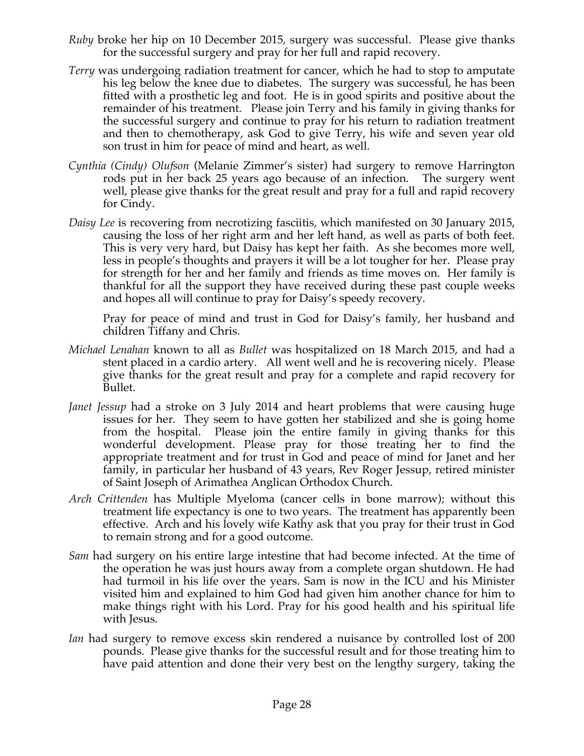- *Ruby* broke her hip on 10 December 2015, surgery was successful. Please give thanks for the successful surgery and pray for her full and rapid recovery.
- *Terry* was undergoing radiation treatment for cancer, which he had to stop to amputate his leg below the knee due to diabetes. The surgery was successful, he has been fitted with a prosthetic leg and foot. He is in good spirits and positive about the remainder of his treatment. Please join Terry and his family in giving thanks for the successful surgery and continue to pray for his return to radiation treatment and then to chemotherapy, ask God to give Terry, his wife and seven year old son trust in him for peace of mind and heart, as well.
- *Cynthia (Cindy) Olufson* (Melanie Zimmer's sister) had surgery to remove Harrington rods put in her back 25 years ago because of an infection. The surgery went well, please give thanks for the great result and pray for a full and rapid recovery for Cindy.
- *Daisy Lee* is recovering from necrotizing fasciitis, which manifested on 30 January 2015, causing the loss of her right arm and her left hand, as well as parts of both feet. This is very very hard, but Daisy has kept her faith. As she becomes more well, less in people's thoughts and prayers it will be a lot tougher for her. Please pray for strength for her and her family and friends as time moves on. Her family is thankful for all the support they have received during these past couple weeks and hopes all will continue to pray for Daisy's speedy recovery.

Pray for peace of mind and trust in God for Daisy's family, her husband and children Tiffany and Chris.

- *Michael Lenahan* known to all as *Bullet* was hospitalized on 18 March 2015, and had a stent placed in a cardio artery. All went well and he is recovering nicely. Please give thanks for the great result and pray for a complete and rapid recovery for Bullet.
- *Janet Jessup* had a stroke on 3 July 2014 and heart problems that were causing huge issues for her. They seem to have gotten her stabilized and she is going home from the hospital. Please join the entire family in giving thanks for this wonderful development. Please pray for those treating her to find the appropriate treatment and for trust in God and peace of mind for Janet and her family, in particular her husband of 43 years, Rev Roger Jessup, retired minister of Saint Joseph of Arimathea Anglican Orthodox Church.
- *Arch Crittenden* has Multiple Myeloma (cancer cells in bone marrow); without this treatment life expectancy is one to two years. The treatment has apparently been effective. Arch and his lovely wife Kathy ask that you pray for their trust in God to remain strong and for a good outcome.
- *Sam* had surgery on his entire large intestine that had become infected. At the time of the operation he was just hours away from a complete organ shutdown. He had had turmoil in his life over the years. Sam is now in the ICU and his Minister visited him and explained to him God had given him another chance for him to make things right with his Lord. Pray for his good health and his spiritual life with Jesus.
- *Ian* had surgery to remove excess skin rendered a nuisance by controlled lost of 200 pounds. Please give thanks for the successful result and for those treating him to have paid attention and done their very best on the lengthy surgery, taking the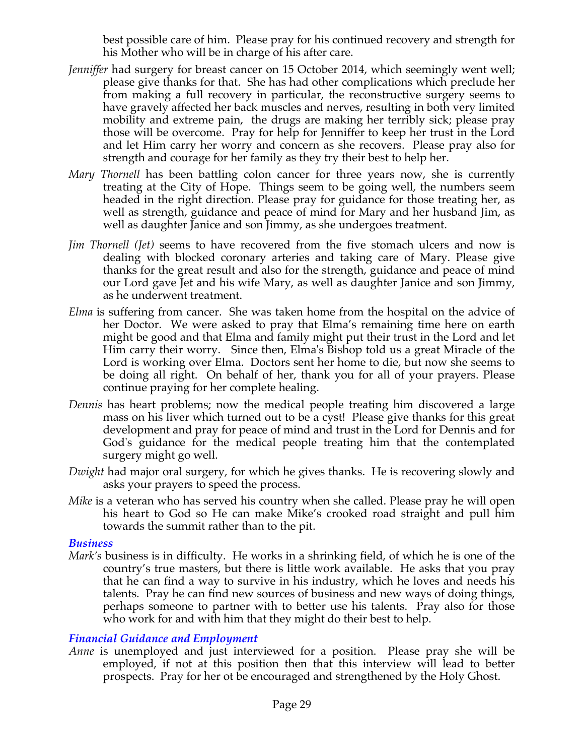best possible care of him. Please pray for his continued recovery and strength for his Mother who will be in charge of his after care.

- *Jenniffer* had surgery for breast cancer on 15 October 2014, which seemingly went well; please give thanks for that. She has had other complications which preclude her from making a full recovery in particular, the reconstructive surgery seems to have gravely affected her back muscles and nerves, resulting in both very limited mobility and extreme pain, the drugs are making her terribly sick; please pray those will be overcome. Pray for help for Jenniffer to keep her trust in the Lord and let Him carry her worry and concern as she recovers. Please pray also for strength and courage for her family as they try their best to help her.
- *Mary Thornell* has been battling colon cancer for three years now, she is currently treating at the City of Hope. Things seem to be going well, the numbers seem headed in the right direction. Please pray for guidance for those treating her, as well as strength, guidance and peace of mind for Mary and her husband Jim, as well as daughter Janice and son Jimmy, as she undergoes treatment.
- *Jim Thornell (Jet)* seems to have recovered from the five stomach ulcers and now is dealing with blocked coronary arteries and taking care of Mary. Please give thanks for the great result and also for the strength, guidance and peace of mind our Lord gave Jet and his wife Mary, as well as daughter Janice and son Jimmy, as he underwent treatment.
- *Elma* is suffering from cancer. She was taken home from the hospital on the advice of her Doctor. We were asked to pray that Elma's remaining time here on earth might be good and that Elma and family might put their trust in the Lord and let Him carry their worry. Since then, Elma's Bishop told us a great Miracle of the Lord is working over Elma. Doctors sent her home to die, but now she seems to be doing all right. On behalf of her, thank you for all of your prayers. Please continue praying for her complete healing.
- *Dennis* has heart problems; now the medical people treating him discovered a large mass on his liver which turned out to be a cyst! Please give thanks for this great development and pray for peace of mind and trust in the Lord for Dennis and for God's guidance for the medical people treating him that the contemplated surgery might go well.
- *Dwight* had major oral surgery, for which he gives thanks. He is recovering slowly and asks your prayers to speed the process.
- *Mike* is a veteran who has served his country when she called. Please pray he will open his heart to God so He can make Mike's crooked road straight and pull him towards the summit rather than to the pit.

# *Business*

*Mark's* business is in difficulty. He works in a shrinking field, of which he is one of the country's true masters, but there is little work available. He asks that you pray that he can find a way to survive in his industry, which he loves and needs his talents. Pray he can find new sources of business and new ways of doing things, perhaps someone to partner with to better use his talents. Pray also for those who work for and with him that they might do their best to help.

# *Financial Guidance and Employment*

*Anne* is unemployed and just interviewed for a position. Please pray she will be employed, if not at this position then that this interview will lead to better prospects. Pray for her ot be encouraged and strengthened by the Holy Ghost.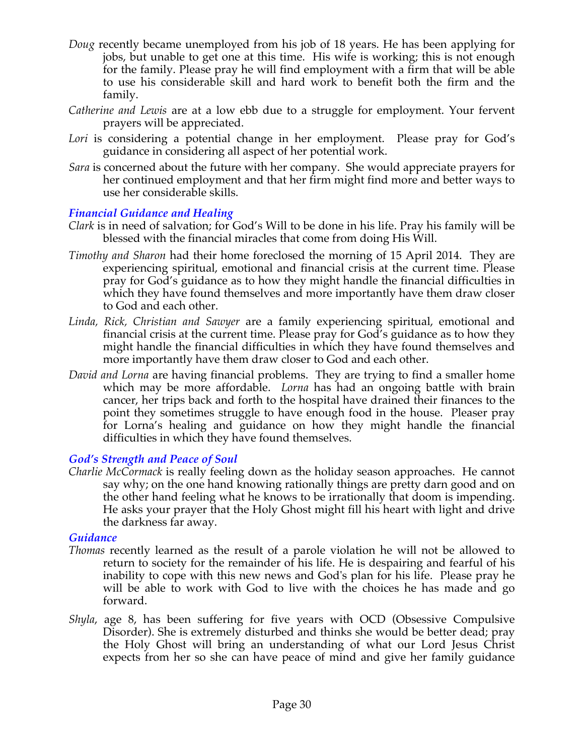- *Doug* recently became unemployed from his job of 18 years. He has been applying for jobs, but unable to get one at this time. His wife is working; this is not enough for the family. Please pray he will find employment with a firm that will be able to use his considerable skill and hard work to benefit both the firm and the family.
- *Catherine and Lewis* are at a low ebb due to a struggle for employment. Your fervent prayers will be appreciated.
- Lori is considering a potential change in her employment. Please pray for God's guidance in considering all aspect of her potential work.
- *Sara* is concerned about the future with her company. She would appreciate prayers for her continued employment and that her firm might find more and better ways to use her considerable skills.

# *Financial Guidance and Healing*

- *Clark* is in need of salvation; for God's Will to be done in his life. Pray his family will be blessed with the financial miracles that come from doing His Will.
- *Timothy and Sharon* had their home foreclosed the morning of 15 April 2014. They are experiencing spiritual, emotional and financial crisis at the current time. Please pray for God's guidance as to how they might handle the financial difficulties in which they have found themselves and more importantly have them draw closer to God and each other.
- *Linda, Rick, Christian and Sawyer* are a family experiencing spiritual, emotional and financial crisis at the current time. Please pray for God's guidance as to how they might handle the financial difficulties in which they have found themselves and more importantly have them draw closer to God and each other.
- *David and Lorna* are having financial problems. They are trying to find a smaller home which may be more affordable. *Lorna* has had an ongoing battle with brain cancer, her trips back and forth to the hospital have drained their finances to the point they sometimes struggle to have enough food in the house. Pleaser pray for Lorna's healing and guidance on how they might handle the financial difficulties in which they have found themselves.

# *God's Strength and Peace of Soul*

*Charlie McCormack* is really feeling down as the holiday season approaches. He cannot say why; on the one hand knowing rationally things are pretty darn good and on the other hand feeling what he knows to be irrationally that doom is impending. He asks your prayer that the Holy Ghost might fill his heart with light and drive the darkness far away.

# *Guidance*

- *Thomas* recently learned as the result of a parole violation he will not be allowed to return to society for the remainder of his life. He is despairing and fearful of his inability to cope with this new news and God's plan for his life. Please pray he will be able to work with God to live with the choices he has made and go forward.
- *Shyla*, age 8, has been suffering for five years with OCD (Obsessive Compulsive Disorder). She is extremely disturbed and thinks she would be better dead; pray the Holy Ghost will bring an understanding of what our Lord Jesus Christ expects from her so she can have peace of mind and give her family guidance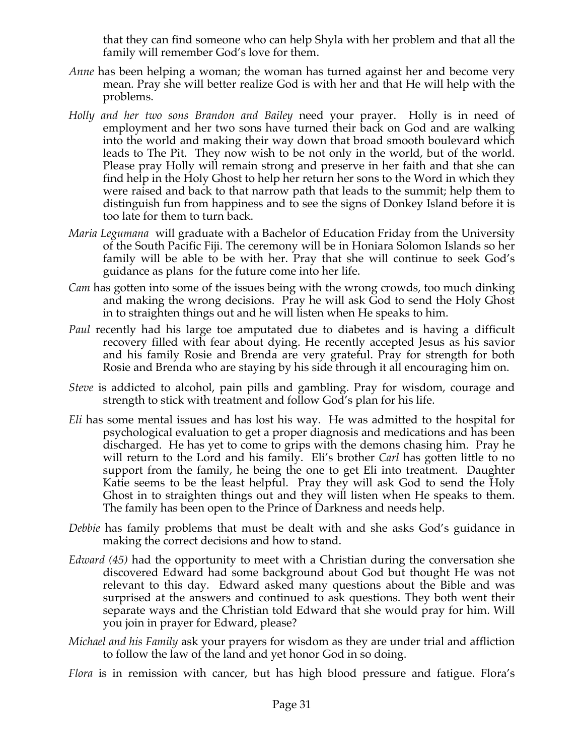that they can find someone who can help Shyla with her problem and that all the family will remember God's love for them.

- *Anne* has been helping a woman; the woman has turned against her and become very mean. Pray she will better realize God is with her and that He will help with the problems.
- *Holly and her two sons Brandon and Bailey* need your prayer. Holly is in need of employment and her two sons have turned their back on God and are walking into the world and making their way down that broad smooth boulevard which leads to The Pit. They now wish to be not only in the world, but of the world. Please pray Holly will remain strong and preserve in her faith and that she can find help in the Holy Ghost to help her return her sons to the Word in which they were raised and back to that narrow path that leads to the summit; help them to distinguish fun from happiness and to see the signs of Donkey Island before it is too late for them to turn back.
- *Maria Legumana* will graduate with a Bachelor of Education Friday from the University of the South Pacific Fiji. The ceremony will be in Honiara Solomon Islands so her family will be able to be with her. Pray that she will continue to seek God's guidance as plans for the future come into her life.
- *Cam* has gotten into some of the issues being with the wrong crowds, too much dinking and making the wrong decisions. Pray he will ask God to send the Holy Ghost in to straighten things out and he will listen when He speaks to him.
- *Paul* recently had his large toe amputated due to diabetes and is having a difficult recovery filled with fear about dying. He recently accepted Jesus as his savior and his family Rosie and Brenda are very grateful. Pray for strength for both Rosie and Brenda who are staying by his side through it all encouraging him on.
- *Steve* is addicted to alcohol, pain pills and gambling. Pray for wisdom, courage and strength to stick with treatment and follow God's plan for his life.
- *Eli* has some mental issues and has lost his way. He was admitted to the hospital for psychological evaluation to get a proper diagnosis and medications and has been discharged. He has yet to come to grips with the demons chasing him. Pray he will return to the Lord and his family. Eli's brother *Carl* has gotten little to no support from the family, he being the one to get Eli into treatment. Daughter Katie seems to be the least helpful. Pray they will ask God to send the Holy Ghost in to straighten things out and they will listen when He speaks to them. The family has been open to the Prince of Darkness and needs help.
- *Debbie* has family problems that must be dealt with and she asks God's guidance in making the correct decisions and how to stand.
- *Edward (45)* had the opportunity to meet with a Christian during the conversation she discovered Edward had some background about God but thought He was not relevant to this day. Edward asked many questions about the Bible and was surprised at the answers and continued to ask questions. They both went their separate ways and the Christian told Edward that she would pray for him. Will you join in prayer for Edward, please?
- *Michael and his Family* ask your prayers for wisdom as they are under trial and affliction to follow the law of the land and yet honor God in so doing.
- *Flora* is in remission with cancer, but has high blood pressure and fatigue. Flora's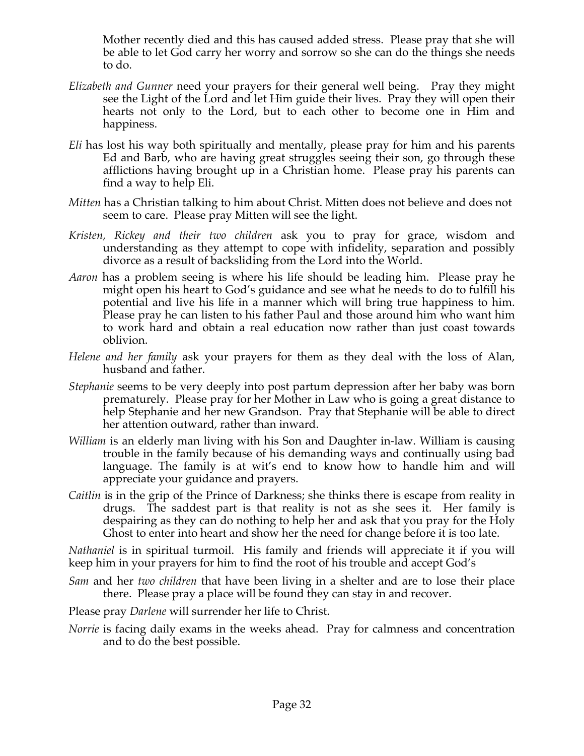Mother recently died and this has caused added stress. Please pray that she will be able to let God carry her worry and sorrow so she can do the things she needs to do.

- *Elizabeth and Gunner* need your prayers for their general well being. Pray they might see the Light of the Lord and let Him guide their lives. Pray they will open their hearts not only to the Lord, but to each other to become one in Him and happiness.
- *Eli* has lost his way both spiritually and mentally, please pray for him and his parents Ed and Barb, who are having great struggles seeing their son, go through these afflictions having brought up in a Christian home. Please pray his parents can find a way to help Eli.
- *Mitten* has a Christian talking to him about Christ. Mitten does not believe and does not seem to care. Please pray Mitten will see the light.
- *Kristen, Rickey and their two children* ask you to pray for grace, wisdom and understanding as they attempt to cope with infidelity, separation and possibly divorce as a result of backsliding from the Lord into the World.
- *Aaron* has a problem seeing is where his life should be leading him. Please pray he might open his heart to God's guidance and see what he needs to do to fulfill his potential and live his life in a manner which will bring true happiness to him. Please pray he can listen to his father Paul and those around him who want him to work hard and obtain a real education now rather than just coast towards oblivion.
- *Helene and her family* ask your prayers for them as they deal with the loss of Alan, husband and father.
- *Stephanie* seems to be very deeply into post partum depression after her baby was born prematurely. Please pray for her Mother in Law who is going a great distance to help Stephanie and her new Grandson. Pray that Stephanie will be able to direct her attention outward, rather than inward.
- *William* is an elderly man living with his Son and Daughter in-law. William is causing trouble in the family because of his demanding ways and continually using bad language. The family is at wit's end to know how to handle him and will appreciate your guidance and prayers.
- *Caitlin* is in the grip of the Prince of Darkness; she thinks there is escape from reality in drugs. The saddest part is that reality is not as she sees it. Her family is despairing as they can do nothing to help her and ask that you pray for the Holy Ghost to enter into heart and show her the need for change before it is too late.

*Nathaniel* is in spiritual turmoil. His family and friends will appreciate it if you will keep him in your prayers for him to find the root of his trouble and accept God's

- *Sam* and her *two children* that have been living in a shelter and are to lose their place there. Please pray a place will be found they can stay in and recover.
- Please pray *Darlene* will surrender her life to Christ.
- *Norrie* is facing daily exams in the weeks ahead. Pray for calmness and concentration and to do the best possible.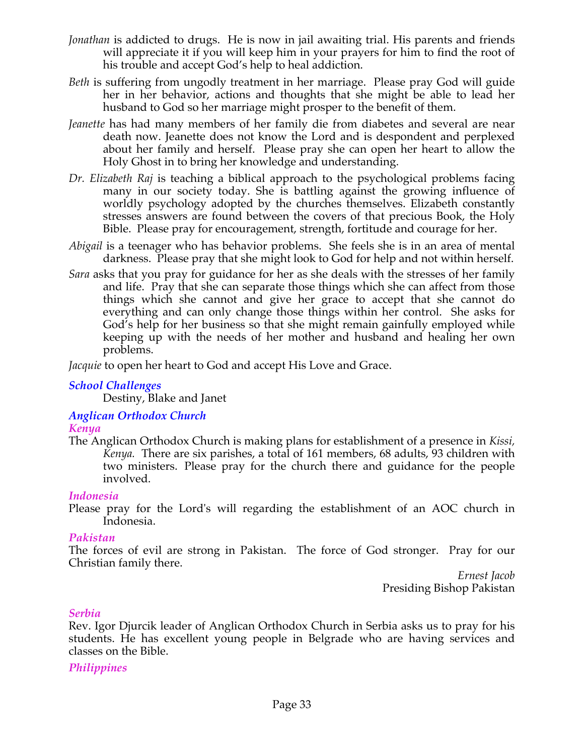- *Jonathan* is addicted to drugs. He is now in jail awaiting trial. His parents and friends will appreciate it if you will keep him in your prayers for him to find the root of his trouble and accept God's help to heal addiction.
- *Beth* is suffering from ungodly treatment in her marriage. Please pray God will guide her in her behavior, actions and thoughts that she might be able to lead her husband to God so her marriage might prosper to the benefit of them.
- *Jeanette* has had many members of her family die from diabetes and several are near death now. Jeanette does not know the Lord and is despondent and perplexed about her family and herself. Please pray she can open her heart to allow the Holy Ghost in to bring her knowledge and understanding.
- *Dr. Elizabeth Raj* is teaching a biblical approach to the psychological problems facing many in our society today. She is battling against the growing influence of worldly psychology adopted by the churches themselves. Elizabeth constantly stresses answers are found between the covers of that precious Book, the Holy Bible. Please pray for encouragement, strength, fortitude and courage for her.
- *Abigail* is a teenager who has behavior problems. She feels she is in an area of mental darkness. Please pray that she might look to God for help and not within herself.
- *Sara* asks that you pray for guidance for her as she deals with the stresses of her family and life. Pray that she can separate those things which she can affect from those things which she cannot and give her grace to accept that she cannot do everything and can only change those things within her control. She asks for God's help for her business so that she might remain gainfully employed while keeping up with the needs of her mother and husband and healing her own problems.

*Jacquie* to open her heart to God and accept His Love and Grace.

# *School Challenges*

Destiny, Blake and Janet

# *Anglican Orthodox Church*

# *Kenya*

The Anglican Orthodox Church is making plans for establishment of a presence in *Kissi, Kenya.* There are six parishes, a total of 161 members, 68 adults, 93 children with two ministers. Please pray for the church there and guidance for the people involved.

# *Indonesia*

Please pray for the Lord's will regarding the establishment of an AOC church in Indonesia.

# *Pakistan*

The forces of evil are strong in Pakistan. The force of God stronger. Pray for our Christian family there.

*Ernest Jacob* Presiding Bishop Pakistan

# *Serbia*

Rev. Igor Djurcik leader of Anglican Orthodox Church in Serbia asks us to pray for his students. He has excellent young people in Belgrade who are having services and classes on the Bible.

# *Philippines*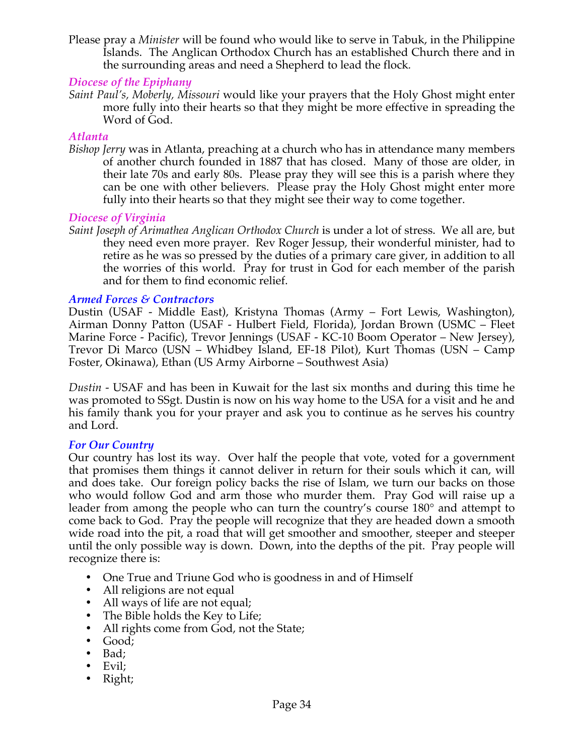Please pray a *Minister* will be found who would like to serve in Tabuk, in the Philippine Islands. The Anglican Orthodox Church has an established Church there and in the surrounding areas and need a Shepherd to lead the flock*.*

# *Diocese of the Epiphany*

*Saint Paul's, Moberly, Missouri* would like your prayers that the Holy Ghost might enter more fully into their hearts so that they might be more effective in spreading the Word of God.

# *Atlanta*

*Bishop Jerry* was in Atlanta, preaching at a church who has in attendance many members of another church founded in 1887 that has closed. Many of those are older, in their late 70s and early 80s. Please pray they will see this is a parish where they can be one with other believers. Please pray the Holy Ghost might enter more fully into their hearts so that they might see their way to come together.

# *Diocese of Virginia*

*Saint Joseph of Arimathea Anglican Orthodox Church* is under a lot of stress. We all are, but they need even more prayer. Rev Roger Jessup, their wonderful minister, had to retire as he was so pressed by the duties of a primary care giver, in addition to all the worries of this world. Pray for trust in God for each member of the parish and for them to find economic relief.

# *Armed Forces & Contractors*

Dustin (USAF - Middle East), Kristyna Thomas (Army – Fort Lewis, Washington), Airman Donny Patton (USAF - Hulbert Field, Florida), Jordan Brown (USMC – Fleet Marine Force - Pacific), Trevor Jennings (USAF - KC-10 Boom Operator – New Jersey), Trevor Di Marco (USN – Whidbey Island, EF-18 Pilot), Kurt Thomas (USN – Camp Foster, Okinawa), Ethan (US Army Airborne – Southwest Asia)

*Dustin* - USAF and has been in Kuwait for the last six months and during this time he was promoted to SSgt. Dustin is now on his way home to the USA for a visit and he and his family thank you for your prayer and ask you to continue as he serves his country and Lord.

# *For Our Country*

Our country has lost its way. Over half the people that vote, voted for a government that promises them things it cannot deliver in return for their souls which it can, will and does take. Our foreign policy backs the rise of Islam, we turn our backs on those who would follow God and arm those who murder them. Pray God will raise up a leader from among the people who can turn the country's course 180° and attempt to come back to God. Pray the people will recognize that they are headed down a smooth wide road into the pit, a road that will get smoother and smoother, steeper and steeper until the only possible way is down. Down, into the depths of the pit. Pray people will recognize there is:

- One True and Triune God who is goodness in and of Himself
- All religions are not equal
- All ways of life are not equal;
- The Bible holds the Key to Life;
- All rights come from God, not the State;
- Good;
- Bad;
- Evil;
- Right;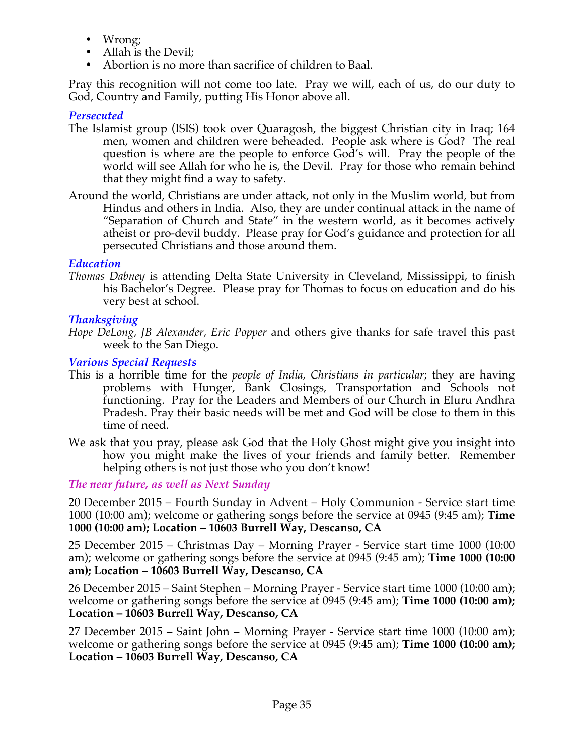- Wrong;
- Allah is the Devil;
- Abortion is no more than sacrifice of children to Baal.

Pray this recognition will not come too late. Pray we will, each of us, do our duty to God, Country and Family, putting His Honor above all.

# *Persecuted*

- The Islamist group (ISIS) took over Quaragosh, the biggest Christian city in Iraq; 164 men, women and children were beheaded. People ask where is God? The real question is where are the people to enforce God's will. Pray the people of the world will see Allah for who he is, the Devil. Pray for those who remain behind that they might find a way to safety.
- Around the world, Christians are under attack, not only in the Muslim world, but from Hindus and others in India. Also, they are under continual attack in the name of "Separation of Church and State" in the western world, as it becomes actively atheist or pro-devil buddy. Please pray for God's guidance and protection for all persecuted Christians and those around them.

# *Education*

*Thomas Dabney* is attending Delta State University in Cleveland, Mississippi, to finish his Bachelor's Degree. Please pray for Thomas to focus on education and do his very best at school.

# *Thanksgiving*

*Hope DeLong, JB Alexander, Eric Popper* and others give thanks for safe travel this past week to the San Diego.

# *Various Special Requests*

- This is a horrible time for the *people of India, Christians in particular*; they are having problems with Hunger, Bank Closings, Transportation and Schools not functioning. Pray for the Leaders and Members of our Church in Eluru Andhra Pradesh. Pray their basic needs will be met and God will be close to them in this time of need.
- We ask that you pray, please ask God that the Holy Ghost might give you insight into how you might make the lives of your friends and family better. Remember helping others is not just those who you don't know!

*The near future, as well as Next Sunday*

20 December 2015 – Fourth Sunday in Advent – Holy Communion - Service start time 1000 (10:00 am); welcome or gathering songs before the service at 0945 (9:45 am); **Time 1000 (10:00 am); Location – 10603 Burrell Way, Descanso, CA**

25 December 2015 – Christmas Day – Morning Prayer - Service start time 1000 (10:00 am); welcome or gathering songs before the service at 0945 (9:45 am); **Time 1000 (10:00 am); Location – 10603 Burrell Way, Descanso, CA**

26 December 2015 – Saint Stephen – Morning Prayer - Service start time 1000 (10:00 am); welcome or gathering songs before the service at 0945 (9:45 am); **Time 1000 (10:00 am); Location – 10603 Burrell Way, Descanso, CA**

27 December 2015 – Saint John – Morning Prayer - Service start time 1000 (10:00 am); welcome or gathering songs before the service at 0945 (9:45 am); **Time 1000 (10:00 am); Location – 10603 Burrell Way, Descanso, CA**